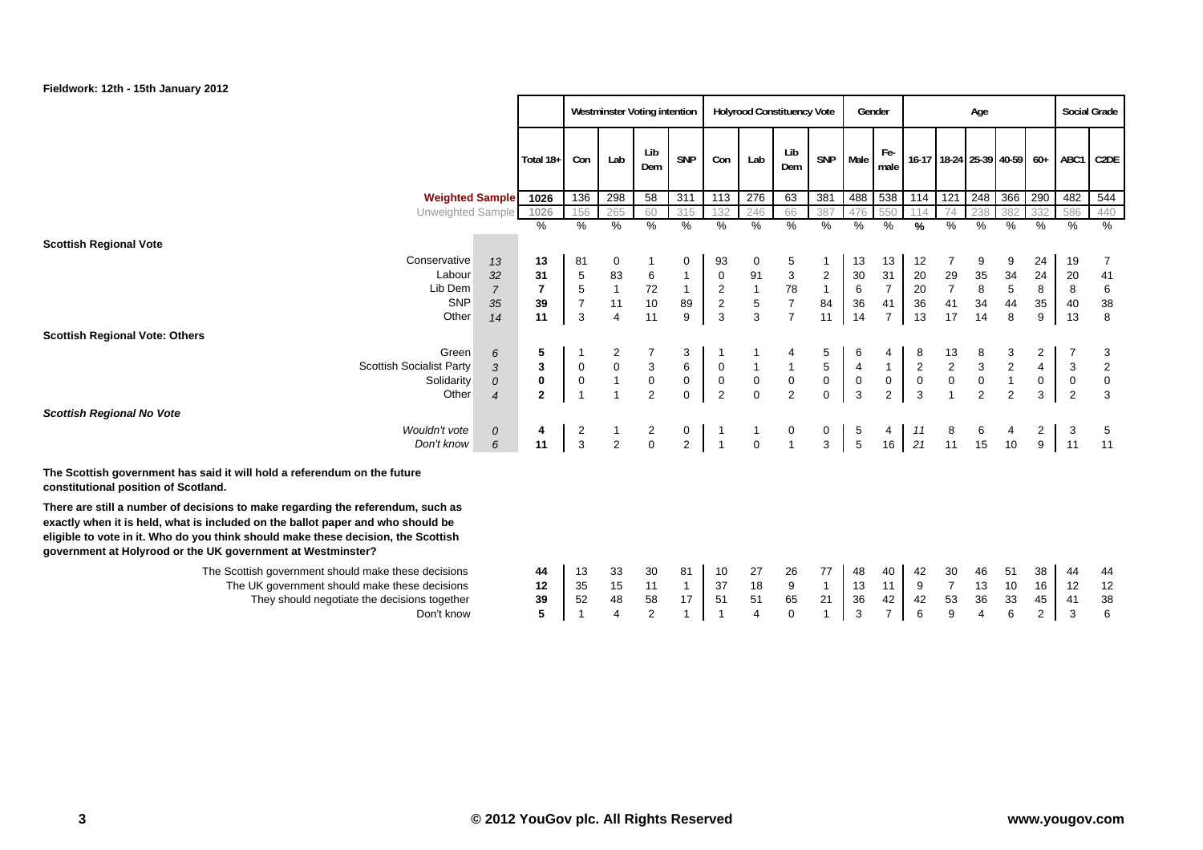|                                                                                                                                                                                                                                                                                                                        |                |                |                  |                         | <b>Westminster Voting intention</b> |                |                                            |                                            | <b>Holyrood Constituency Vote</b> |                     |                         | Gender         |               |                         | Age            |                |                  |                  | <b>Social Grade</b> |
|------------------------------------------------------------------------------------------------------------------------------------------------------------------------------------------------------------------------------------------------------------------------------------------------------------------------|----------------|----------------|------------------|-------------------------|-------------------------------------|----------------|--------------------------------------------|--------------------------------------------|-----------------------------------|---------------------|-------------------------|----------------|---------------|-------------------------|----------------|----------------|------------------|------------------|---------------------|
|                                                                                                                                                                                                                                                                                                                        |                | Total 18+      | Con              | Lab                     | Lib<br>Dem                          | <b>SNP</b>     | Con                                        | Lab                                        | Lib<br>Dem                        | <b>SNP</b>          | Male                    | Fe-<br>male    |               | 16-17 18-24 25-39 40-59 |                |                | $60+$            |                  | ABC1 C2DE           |
| <b>Weighted Sample</b>                                                                                                                                                                                                                                                                                                 |                | 1026           | 136              | 298                     | 58                                  | 311            | 113                                        | 276                                        | 63                                | 381                 | 488                     | 538            | 114           | 121                     | 248            | 366            | 290              | 482              | 544                 |
| Unweighted Sample                                                                                                                                                                                                                                                                                                      |                | 1026           | 156              | 265                     | 60                                  | 315            | 132                                        | 246                                        | 66                                | 387                 | 476                     | 550            | 114           | 74                      | 238            | 382            | 332              | 586              | 440                 |
|                                                                                                                                                                                                                                                                                                                        |                | $\%$           | %                | %                       | $\frac{0}{0}$                       | $\frac{0}{0}$  | $\%$                                       | $\frac{0}{0}$                              | $\frac{0}{0}$                     | $\%$                | $\frac{0}{0}$           | $\frac{0}{0}$  | $\frac{9}{6}$ | $\frac{0}{0}$           | $\frac{0}{0}$  | %              | $\frac{0}{0}$    | %                | $\frac{0}{0}$       |
| <b>Scottish Regional Vote</b>                                                                                                                                                                                                                                                                                          |                |                |                  |                         |                                     |                |                                            |                                            |                                   |                     |                         |                |               |                         |                |                |                  |                  |                     |
| Conservative                                                                                                                                                                                                                                                                                                           | 13             | 13             | 81               | 0                       |                                     | 0              | 93                                         | 0                                          | 5                                 | $\mathbf{1}$        | 13                      | 13             | 12            | 7                       | 9              | 9              | 24               | 19               | 7                   |
| Labour                                                                                                                                                                                                                                                                                                                 | 32             | 31             | $\,$ 5 $\,$      | 83                      | 6                                   | $\mathbf{1}$   | $\mathbf 0$                                | 91                                         | $\sqrt{3}$                        | $\overline{2}$      | 30                      | 31             | 20            | 29                      | 35             | 34             | 24               | 20               | 41                  |
| Lib Dem                                                                                                                                                                                                                                                                                                                | $\overline{7}$ | $\overline{7}$ | $\sqrt{5}$       | $\mathbf{1}$            | 72                                  | $\mathbf{1}$   |                                            | $\begin{array}{c} 1 \\ 5 \\ 3 \end{array}$ | 78                                | 1                   | 6                       | $\overline{7}$ | 20            | $\overline{7}$          | $\bf 8$        | $\sqrt{5}$     | 8                | 8                | $\,6\,$             |
| <b>SNP</b>                                                                                                                                                                                                                                                                                                             | 35             | 39             | $\overline{7}$   | 11                      | $10$                                | 89             | $\begin{array}{c} 2 \\ 2 \\ 3 \end{array}$ |                                            | $\boldsymbol{7}$                  | 84                  | 36                      | 41             | 36            | 41                      | 34             | 44             | $35\,$           | 40               | $38\,$              |
| Other                                                                                                                                                                                                                                                                                                                  | 14             | 11             | 3                | $\overline{\mathbf{4}}$ | 11                                  | 9              |                                            |                                            | $\overline{7}$                    | 11                  | 14                      | $\overline{7}$ | 13            | 17                      | 14             | 8              | $\boldsymbol{9}$ | 13               | 8                   |
| <b>Scottish Regional Vote: Others</b>                                                                                                                                                                                                                                                                                  |                |                |                  |                         |                                     |                |                                            |                                            |                                   |                     |                         |                |               |                         |                |                |                  |                  |                     |
| Green                                                                                                                                                                                                                                                                                                                  | 6              | 5              |                  |                         |                                     | 3              |                                            |                                            |                                   | 5                   | 6                       |                |               | 13                      |                | 3              | 2                |                  | 3                   |
| <b>Scottish Socialist Party</b>                                                                                                                                                                                                                                                                                        | 3              | $\mathbf{3}$   | $\mathbf 0$      | $\mathbf 0$             | $\ensuremath{\mathsf{3}}$           | $\,6\,$        | $\,0\,$                                    | $\mathbf{1}$                               |                                   | $\sqrt{5}$          | $\overline{4}$          | $\mathbf{1}$   | $\sqrt{2}$    | $\overline{c}$          | $\mathbf{3}$   | $\overline{2}$ | $\overline{4}$   | 3                | $\overline{c}$      |
| Solidarity                                                                                                                                                                                                                                                                                                             | $\mathcal{O}$  | $\mathbf 0$    | $\boldsymbol{0}$ | $\mathbf{1}$            | $\pmb{0}$                           | $\mathbf 0$    | $\begin{array}{c} 0 \\ 2 \end{array}$      | $\begin{array}{c} 0 \\ 0 \end{array}$      | $\begin{matrix}0\\2\end{matrix}$  | $\mathsf{O}\xspace$ | $\overline{\mathbf{0}}$ | $\overline{0}$ | $\mathbf 0$   | $\pmb{0}$               | $\mathbf 0$    | $\mathbf{1}$   | $\overline{0}$   | $\boldsymbol{0}$ | $\pmb{0}$           |
| Other                                                                                                                                                                                                                                                                                                                  | $\overline{4}$ | $\mathbf{2}$   |                  |                         | 2                                   | $\mathbf 0$    |                                            |                                            |                                   | $\mathbf{0}$        | $\mathbf{3}$            | $\overline{2}$ | 3             | $\overline{1}$          | $\overline{2}$ | $\overline{2}$ | 3                | $\overline{2}$   | $\mathbf{3}$        |
| <b>Scottish Regional No Vote</b>                                                                                                                                                                                                                                                                                       |                |                |                  |                         |                                     |                |                                            |                                            |                                   |                     |                         |                |               |                         |                |                |                  |                  |                     |
| Wouldn't vote                                                                                                                                                                                                                                                                                                          | $\mathcal{O}$  | 4              | 2                |                         |                                     | $\mathbf{0}$   | $\mathbf{1}$                               |                                            | 0                                 | $\overline{0}$      | 5                       |                | 11            | 8                       | 6              |                | $\mathbf{2}$     | 3                |                     |
| Don't know                                                                                                                                                                                                                                                                                                             | 6              | 11             | $\overline{3}$   | $\overline{2}$          | $\frac{2}{0}$                       | $\overline{2}$ | $\overline{1}$                             | $\mathbf 0$                                | $\mathbf{1}$                      | $\mathbf{3}$        | $\overline{5}$          | 16             | 21            | 11                      | 15             | 10             | 9                | 11               | 11                  |
|                                                                                                                                                                                                                                                                                                                        |                |                |                  |                         |                                     |                |                                            |                                            |                                   |                     |                         |                |               |                         |                |                |                  |                  |                     |
| The Scottish government has said it will hold a referendum on the future<br>constitutional position of Scotland.                                                                                                                                                                                                       |                |                |                  |                         |                                     |                |                                            |                                            |                                   |                     |                         |                |               |                         |                |                |                  |                  |                     |
| There are still a number of decisions to make regarding the referendum, such as<br>exactly when it is held, what is included on the ballot paper and who should be<br>eligible to vote in it. Who do you think should make these decision, the Scottish<br>government at Holyrood or the UK government at Westminster? |                |                |                  |                         |                                     |                |                                            |                                            |                                   |                     |                         |                |               |                         |                |                |                  |                  |                     |
| The Scottish government should make these decisions                                                                                                                                                                                                                                                                    |                | 44             | 13               | 33                      | 30                                  | 81             | 10                                         | 27                                         | 26                                | 77                  | 48                      | 40             | 42            | 30                      | 46             | 51             | 38               | 44               | 44                  |
| The UK government should make these decisions                                                                                                                                                                                                                                                                          |                | 12             | 35               | 15                      | 11                                  | $\mathbf{1}$   | 37                                         | 18                                         | 9                                 | $\mathbf{1}$        | 13                      | 11             | 9             | $\overline{7}$          | 13             | 10             | 16               | 12               | $12$                |
| They should negotiate the decisions together                                                                                                                                                                                                                                                                           |                | 39             | 52               | 48                      | 58                                  | 17             | 51                                         | 51                                         | 65                                | 21                  | 36                      | 42             | 42            | 53                      | $36\,$         | $33\,$         | 45               | 41               | $38\,$              |
| Don't know                                                                                                                                                                                                                                                                                                             |                | 5              |                  | $\overline{4}$          | $\overline{2}$                      | $\overline{1}$ | $\overline{1}$                             | $\overline{4}$                             | $\mathbf 0$                       | $\mathbf{1}$        | 3                       | $\overline{7}$ | 6             | 9                       | $\overline{4}$ | $\,6\,$        | $\overline{2}$   | 3                | 6                   |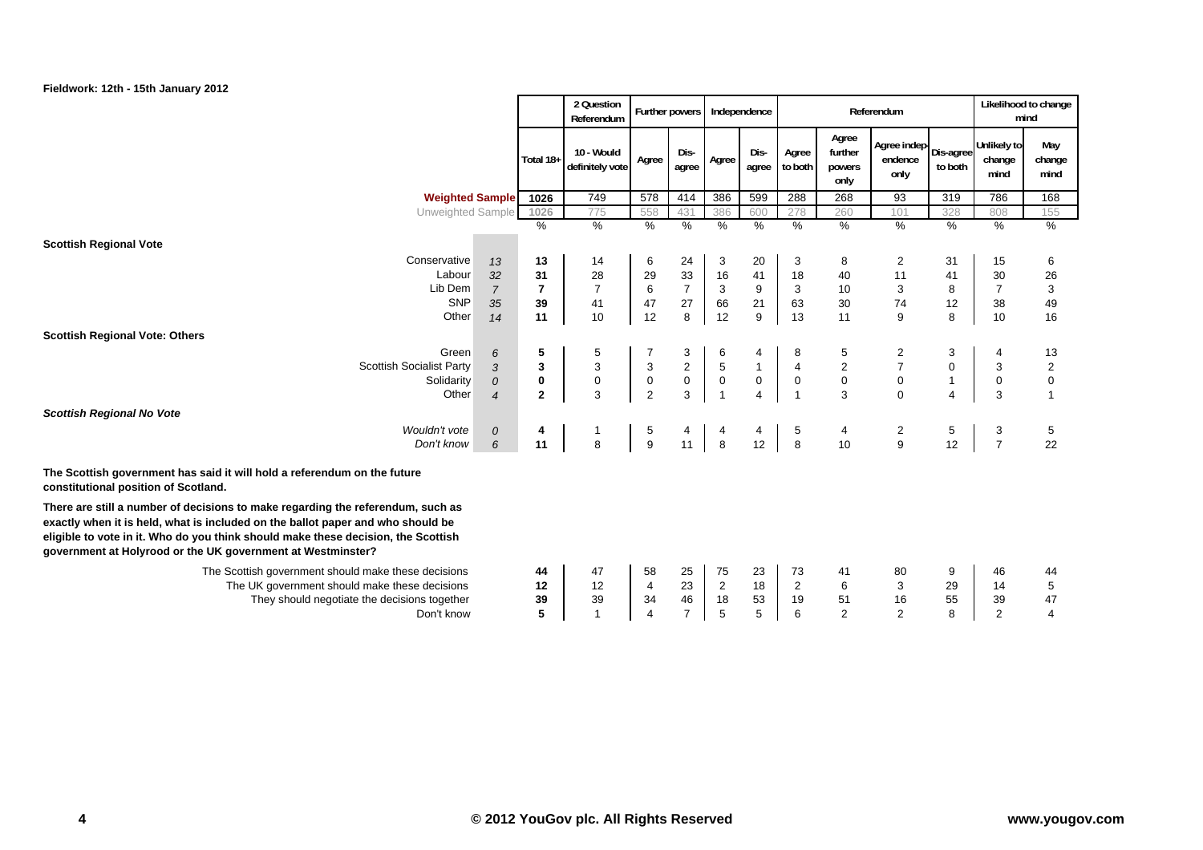

|                                                                                                                                                                                                                                     |                |                | 2 Question<br>Referendum      | Further powers            |                |                | Independence   |                  |                                    | Referendum                                 |                |                               | Likelihood to change<br>mind |
|-------------------------------------------------------------------------------------------------------------------------------------------------------------------------------------------------------------------------------------|----------------|----------------|-------------------------------|---------------------------|----------------|----------------|----------------|------------------|------------------------------------|--------------------------------------------|----------------|-------------------------------|------------------------------|
|                                                                                                                                                                                                                                     |                | Total 18+      | 10 - Would<br>definitely vote | Agree                     | Dis-<br>agree  | Agree          | Dis-<br>agree  | Agree<br>to both | Agree<br>further<br>powers<br>only | Agree indep   Dis-agree<br>endence<br>only | to both        | Unlikely to<br>change<br>mind | May<br>change<br>mind        |
| <b>Weighted Sample</b>                                                                                                                                                                                                              |                | 1026           | 749                           | 578                       | 414            | 386            | 599            | 288              | 268                                | 93                                         | 319            | 786                           | 168                          |
| Unweighted Sample                                                                                                                                                                                                                   |                | 1026           | 775                           | 558                       | 431            | 386            | 600            | 278              | 260                                | 101                                        | 328            | 808                           | 155                          |
|                                                                                                                                                                                                                                     |                | %              | $\frac{9}{6}$                 | $\%$                      | $\%$           | $\%$           | %              | %                | $\%$                               | $\%$                                       | %              | %                             | $\%$                         |
| <b>Scottish Regional Vote</b>                                                                                                                                                                                                       |                |                |                               |                           |                |                |                |                  |                                    |                                            |                |                               |                              |
| Conservative                                                                                                                                                                                                                        | 13             | 13             | 14                            | 6                         | 24             | 3              | 20             | 3                | 8                                  | $\overline{2}$                             | 31             | 15                            | 6                            |
| Labour                                                                                                                                                                                                                              | 32             | 31             | 28                            | 29                        | 33             | 16             | 41             | 18               | 40                                 | 11                                         | 41             | 30                            | 26                           |
| Lib Dem                                                                                                                                                                                                                             | $\overline{7}$ | $\overline{7}$ | $\overline{7}$                | 6                         | $\overline{7}$ | $\sqrt{3}$     | 9              | $\mathbf{3}$     | 10                                 | $\ensuremath{\mathsf{3}}$                  | 8              | $\overline{7}$                | 3                            |
| <b>SNP</b><br>Other                                                                                                                                                                                                                 | 35<br>14       | 39<br>11       | 41<br>10                      | 47<br>12                  | 27<br>$\,8\,$  | 66<br>12       | 21<br>9        | 63<br>13         | 30<br>11                           | 74<br>9                                    | 12<br>8        | 38<br>10                      | 49<br>16                     |
| <b>Scottish Regional Vote: Others</b>                                                                                                                                                                                               |                |                |                               |                           |                |                |                |                  |                                    |                                            |                |                               |                              |
| Green                                                                                                                                                                                                                               | 6              | 5              | 5                             |                           | 3              | 6              |                | 8                | 5                                  | 2                                          | 3              | 4                             | 13                           |
| <b>Scottish Socialist Party</b>                                                                                                                                                                                                     | 3              | 3              | $\mathbf{3}$                  | $\ensuremath{\mathsf{3}}$ | $\overline{2}$ | $\sqrt{5}$     | $\mathbf{1}$   | $\pmb{4}$        | $\boldsymbol{2}$                   | $\overline{\mathcal{I}}$                   | $\mathbf 0$    | 3                             | $\sqrt{2}$                   |
| Solidarity                                                                                                                                                                                                                          | $\mathcal{O}$  | 0              | $\mathbf 0$                   | $\pmb{0}$                 | $\pmb{0}$      | $\pmb{0}$      | 0              | $\mathbf 0$      | $\mathbf 0$                        | $\mathbf 0$                                | $\mathbf{1}$   | 0                             | $\mathbf 0$                  |
| Other                                                                                                                                                                                                                               | $\overline{4}$ | $\overline{2}$ | 3                             | $\overline{2}$            | $\mathbf{3}$   | $\overline{1}$ | $\overline{4}$ | $\overline{1}$   | 3                                  | $\Omega$                                   | $\overline{4}$ | 3                             | $\overline{1}$               |
| <b>Scottish Regional No Vote</b>                                                                                                                                                                                                    |                |                |                               |                           |                |                |                |                  |                                    |                                            |                |                               |                              |
| Wouldn't vote                                                                                                                                                                                                                       | 0              | 4              |                               |                           | 4              | 4              | 4              | 5                | 4                                  | $\begin{array}{c} 2 \\ 9 \end{array}$      | 5              | 3                             | $\overline{5}$               |
| Don't know                                                                                                                                                                                                                          | 6              | 11             | 8                             | $\frac{5}{9}$             | 11             | 8              | 12             | 8                | 10                                 |                                            | 12             | $\overline{7}$                | 22                           |
| The Scottish government has said it will hold a referendum on the future<br>constitutional position of Scotland.<br>There are still a number of decisions to make regarding the referendum, such as                                 |                |                |                               |                           |                |                |                |                  |                                    |                                            |                |                               |                              |
| exactly when it is held, what is included on the ballot paper and who should be<br>eligible to vote in it. Who do you think should make these decision, the Scottish<br>government at Holyrood or the UK government at Westminster? |                |                |                               |                           |                |                |                |                  |                                    |                                            |                |                               |                              |
| The Scottish government should make these decisions                                                                                                                                                                                 |                | 44             | 47                            | 58                        | 25             | 75             | 23             | 73               | 41                                 | 80                                         | 9              | 46                            | 44                           |
| The UK government should make these decisions                                                                                                                                                                                       |                | 12             | 12                            | $\overline{4}$            | 23             | $\sqrt{2}$     | 18             | $\sqrt{2}$       | 6                                  | 3                                          | 29             | 14                            | 5                            |
| They should negotiate the decisions together                                                                                                                                                                                        |                | 39             | 39                            | 34                        | 46             | 18             | 53             | 19               | 51                                 | 16                                         | 55             | 39                            | 47                           |
| Don't know                                                                                                                                                                                                                          |                | 5              | $\overline{1}$                | $\boldsymbol{\Delta}$     | $\overline{7}$ | 5              | 5              | 6                | $\overline{2}$                     | $\overline{2}$                             | 8              | $\overline{2}$                | $\overline{4}$               |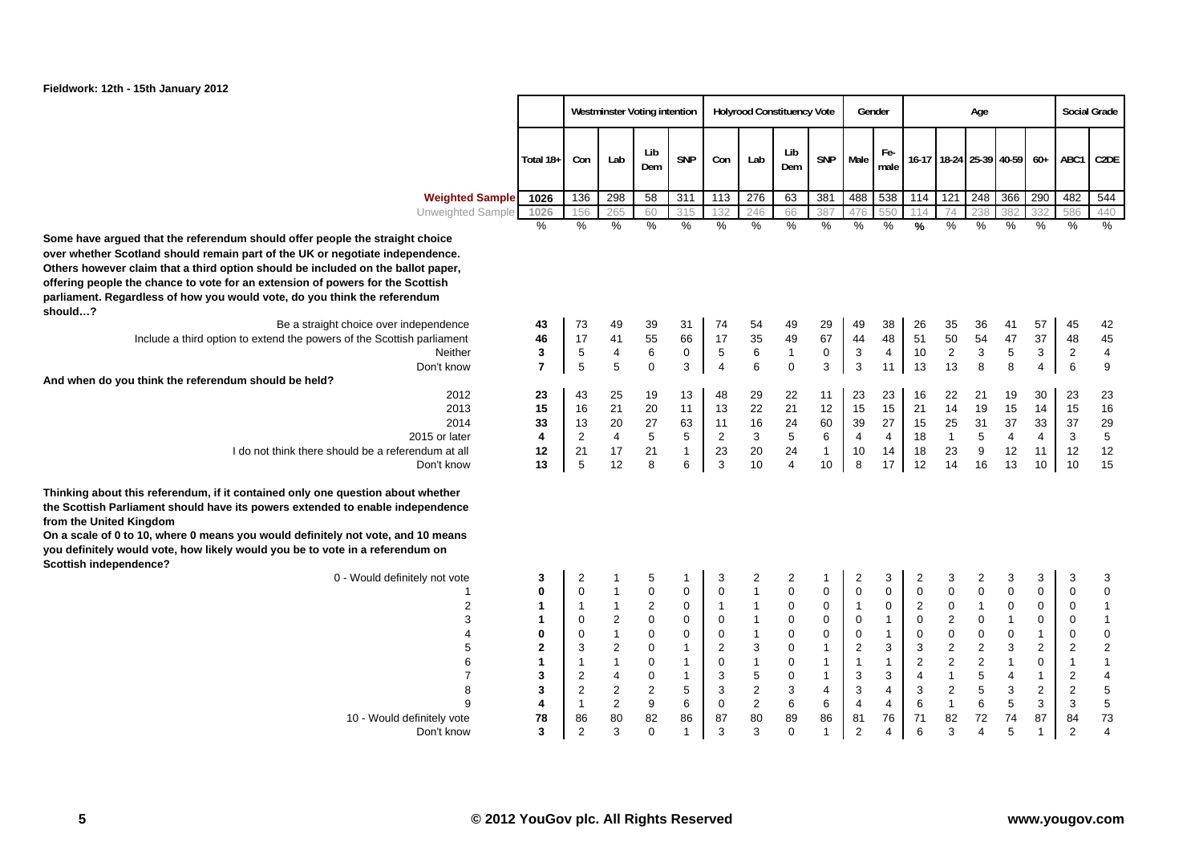

|                                                                                                                                                                                                                                                                                                                                |                |                |                | Westminster Voting intention |                  |                |                  | <b>Holyrood Constituency Vote</b> |                 |                         | Gender         |               |                | Age              |                           |                         |                  | <b>Social Grade</b>     |
|--------------------------------------------------------------------------------------------------------------------------------------------------------------------------------------------------------------------------------------------------------------------------------------------------------------------------------|----------------|----------------|----------------|------------------------------|------------------|----------------|------------------|-----------------------------------|-----------------|-------------------------|----------------|---------------|----------------|------------------|---------------------------|-------------------------|------------------|-------------------------|
|                                                                                                                                                                                                                                                                                                                                | Total 18+      | Con            | Lab            | Lib<br>Dem                   | <b>SNP</b>       | Con            | Lab              | Lib<br>Dem                        | <b>SNP</b>      | Male                    | Fe-<br>male    |               |                |                  | 16-17 18-24 25-39 40-59   | $60+$                   | ABC1             | C <sub>2</sub> DE       |
| <b>Weighted Sample</b>                                                                                                                                                                                                                                                                                                         | 1026           | 136            | 298            | 58                           | 311              | 113            | 276              | 63                                | 381             | 488                     | 538            | 114           | 121            | 248              | 366                       | 290                     | 482              | 544                     |
| Unweighted Sample                                                                                                                                                                                                                                                                                                              | 1026           | 156            | 265            | 60                           | 315              | 132            | 246              | 66                                | 387             | 476                     | 550            | 114           | 74             | 238              | 382                       | 332                     | 586              | 440                     |
| d that the referendum should offer people the straight choice<br>tland should remain part of the UK or negotiate independence.<br>laim that a third option should be included on the ballot paper,<br>e chance to vote for an extension of powers for the Scottish<br>dless of how you would vote, do you think the referendum | $\%$           | $\%$           | %              | $\%$                         | %                | %              | $\%$             | $\%$                              | %               | $\%$                    | $\frac{0}{0}$  | $\frac{9}{6}$ | $\frac{0}{0}$  | %                | %                         | $\%$                    | %                | $\%$                    |
| Be a straight choice over independence                                                                                                                                                                                                                                                                                         | 43             | 73             | 49             | 39                           | 31               | 74             | 54               | 49                                | 29              | 49                      | 38             | 26            | 35             | 36               | 41                        | 57                      | 45               | 42                      |
| Include a third option to extend the powers of the Scottish parliament                                                                                                                                                                                                                                                         | 46             | 17             | 41             | 55                           | 66               | 17             | 35               | 49                                | 67              | 44                      | 48             | 51            | 50             | 54               | 47                        | 37                      | 48               | 45                      |
| <b>Neither</b>                                                                                                                                                                                                                                                                                                                 | 3              | 5              | 4              | $\,6\,$                      | $\mathbf 0$      | $\mathbf 5$    | 6                | $\mathbf{1}$                      | $\pmb{0}$       | 3                       | $\overline{4}$ | 10            | $\mathbf{2}$   | 3                | $\,$ 5 $\,$               | 3                       | $\overline{2}$   | $\overline{\mathbf{4}}$ |
| Don't know                                                                                                                                                                                                                                                                                                                     | $\overline{7}$ | 5              | 5              | $\mathbf 0$                  | 3                | $\overline{4}$ | 6                | $\mathbf 0$                       | 3               | 3                       | 11             | 13            | 13             | 8                | 8                         | 4                       | $\,6\,$          | 9                       |
| think the referendum should be held?                                                                                                                                                                                                                                                                                           |                |                |                |                              |                  |                |                  |                                   |                 |                         |                |               |                |                  |                           |                         |                  |                         |
| 2012                                                                                                                                                                                                                                                                                                                           | 23             | 43             | 25             | 19                           | 13               | 48             | 29               | 22                                | 11              | 23                      | 23             | 16            | 22             | 21               | 19                        | 30                      | 23               | 23                      |
| 2013                                                                                                                                                                                                                                                                                                                           | 15             | 16             | 21             | 20                           | 11               | 13             | 22               | 21                                | 12              | 15                      | 15             | 21            | 14             | 19               | 15                        | 14                      | 15               | 16                      |
| 2014                                                                                                                                                                                                                                                                                                                           | 33             | 13             | 20             | 27                           | 63               | 11             | 16               | 24                                | 60              | 39                      | 27             | 15            | 25             | 31               | 37                        | 33                      | 37               | 29                      |
| 2015 or later                                                                                                                                                                                                                                                                                                                  | 4              | 2              | $\overline{4}$ | 5                            | 5                | $\overline{2}$ | 3                | 5                                 | $6\phantom{1}6$ | $\overline{\mathbf{4}}$ | $\overline{4}$ | 18            | $\mathbf{1}$   | 5                | $\overline{4}$            | 4                       | 3                | 5                       |
| I do not think there should be a referendum at all                                                                                                                                                                                                                                                                             | 12             | 21             | 17             | 21                           | $\mathbf{1}$     | 23             | 20               | 24                                | $\mathbf{1}$    | 10                      | 14             | 18            | 23             | 9                | 12                        | 11                      | 12               | 12                      |
| Don't know                                                                                                                                                                                                                                                                                                                     | 13             | 5              | 12             | 8                            | 6                | 3              | 10               | $\overline{4}$                    | 10              | 8                       | 17             | 12            | 14             | 16               | 13                        | 10                      | 10               | 15                      |
| is referendum, if it contained only one question about whether<br>ament should have its powers extended to enable independence<br>ingdom<br>10, where 0 means you would definitely not vote, and 10 means<br>uld vote, how likely would you be to vote in a referendum on<br>lence?                                            |                |                |                |                              |                  |                |                  |                                   |                 |                         |                |               |                |                  |                           |                         |                  |                         |
| 0 - Would definitely not vote                                                                                                                                                                                                                                                                                                  | 3              | 2              | 1              | 5                            | 1                | 3              | 2                | 2                                 | 1               | 2                       | 3              | 2             | 3              | 2                | 3                         | 3                       | 3                | 3                       |
| 1                                                                                                                                                                                                                                                                                                                              | 0              | $\mathbf 0$    | 1              | $\pmb{0}$                    | $\mathbf 0$      | $\pmb{0}$      | $\mathbf{1}$     | $\pmb{0}$                         | $\pmb{0}$       | $\pmb{0}$               | 0              | 0             | $\pmb{0}$      | $\mathbf 0$      | $\pmb{0}$                 | $\pmb{0}$               | 0                | $\mathbf 0$             |
| 2                                                                                                                                                                                                                                                                                                                              | 1              | $\mathbf{1}$   | $\mathbf{1}$   | 2                            | $\boldsymbol{0}$ | $\overline{1}$ | $\mathbf{1}$     | 0                                 | $\pmb{0}$       | $\mathbf{1}$            | 0              | 2             | $\pmb{0}$      | $\mathbf{1}$     | $\mathbf 0$               | 0                       | 0                | $\mathbf{1}$            |
| 3                                                                                                                                                                                                                                                                                                                              | $\mathbf 1$    | 0              | $\overline{c}$ | $\mathbf 0$                  | $\mathbf 0$      | $\mathbf 0$    | $\mathbf{1}$     | 0                                 | $\pmb{0}$       | $\mathbf 0$             | $\mathbf{1}$   | 0             | $\overline{c}$ | 0                | $\mathbf{1}$              | $\pmb{0}$               | 0                | $\mathbf 1$             |
| 4                                                                                                                                                                                                                                                                                                                              | 0              | 0              | $\mathbf{1}$   | 0                            | $\mathbf 0$      | $\mathbf 0$    | $\mathbf{1}$     | 0                                 | $\mathbf 0$     | $\pmb{0}$               | $\mathbf{1}$   | 0             | $\pmb{0}$      | $\pmb{0}$        | $\pmb{0}$                 | $\mathbf{1}$            | $\mathbf 0$      | $\mathbf{0}$            |
| 5                                                                                                                                                                                                                                                                                                                              | $\mathbf 2$    | 3              | $\overline{c}$ | $\mathbf 0$                  | $\mathbf{1}$     | $\overline{2}$ | 3                | 0                                 | $\mathbf{1}$    | $\boldsymbol{2}$        | 3              | 3             | $\sqrt{2}$     | $\boldsymbol{2}$ | $\ensuremath{\mathsf{3}}$ | $\overline{\mathbf{c}}$ | $\overline{c}$   | $\overline{c}$          |
| 6                                                                                                                                                                                                                                                                                                                              | $\mathbf 1$    | $\mathbf{1}$   | $\mathbf{1}$   | $\mathbf 0$                  | $\mathbf{1}$     | $\mathbf 0$    | $\mathbf{1}$     | $\mathbf 0$                       | $\mathbf{1}$    | 1                       | $\mathbf{1}$   | 2             | $\sqrt{2}$     | $\overline{2}$   | $\mathbf{1}$              | $\pmb{0}$               | $\mathbf{1}$     | $\mathbf{1}$            |
| 7                                                                                                                                                                                                                                                                                                                              | 3              | $\overline{2}$ | 4              | 0                            | $\mathbf{1}$     | 3              | 5                | 0                                 | $\mathbf{1}$    | 3                       | 3              | 4             | $\mathbf{1}$   | 5                | $\overline{4}$            | $\mathbf{1}$            | $\overline{2}$   | $\overline{\mathbf{4}}$ |
| 8                                                                                                                                                                                                                                                                                                                              | 3              | $\overline{c}$ | $\overline{c}$ | $\overline{c}$               | 5                | 3              | $\overline{c}$   | 3                                 | 4               | 3                       | 4              | 3             | $\sqrt{2}$     | 5                | 3                         | 2                       | $\boldsymbol{2}$ | $\frac{5}{5}$           |
| 9                                                                                                                                                                                                                                                                                                                              | 4              | $\mathbf{1}$   | $\overline{c}$ | 9                            | 6                | $\mathbf 0$    | $\boldsymbol{2}$ | $\,6\,$                           | 6               | $\overline{\mathbf{4}}$ | 4              | 6             | $\mathbf{1}$   | 6                | $\,$ 5 $\,$               | 3                       | 3                |                         |
| 10 - Would definitely vote                                                                                                                                                                                                                                                                                                     | 78             | 86             | 80             | 82                           | 86               | 87             | 80               | 89                                | 86              | 81                      | 76             | 71            | 82             | 72               | 74                        | 87                      | 84               | 73                      |
| Don't know                                                                                                                                                                                                                                                                                                                     | 3              | $\overline{2}$ | 3              | $\Omega$                     | $\overline{1}$   | 3              | 3                | $\mathbf 0$                       | $\overline{1}$  | $\overline{2}$          | 4              | 6             | 3              | 4                | 5                         | 1                       | $\overline{2}$   | $\overline{\mathbf{4}}$ |

Some have argued that the referendum should offer people over whether Scotland should remain part of the UK or negotiated **Others however claim that a third option should be included** offering people the chance to vote for an extension of powe parliament. Regardless of how you would vote, do you think **should…?**

| Be a straight choice over independence                                 |
|------------------------------------------------------------------------|
| Include a third option to extend the powers of the Scottish parliament |
| Neither                                                                |
| Don't know                                                             |
| And when do you think the referendum should be held?                   |
| 2012                                                                   |
| 2013                                                                   |
| 2014                                                                   |
| 2015 or later                                                          |
| I do not think there should be a referendum at all                     |
| Don't know                                                             |
|                                                                        |

Thinking about this referendum, if it contained only one que the Scottish Parliament should have its powers extended to **from the United Kingdom**

On a scale of 0 to 10, where 0 means you would definitely no you definitely would vote, how likely would you be to vote in **Scottish independence?**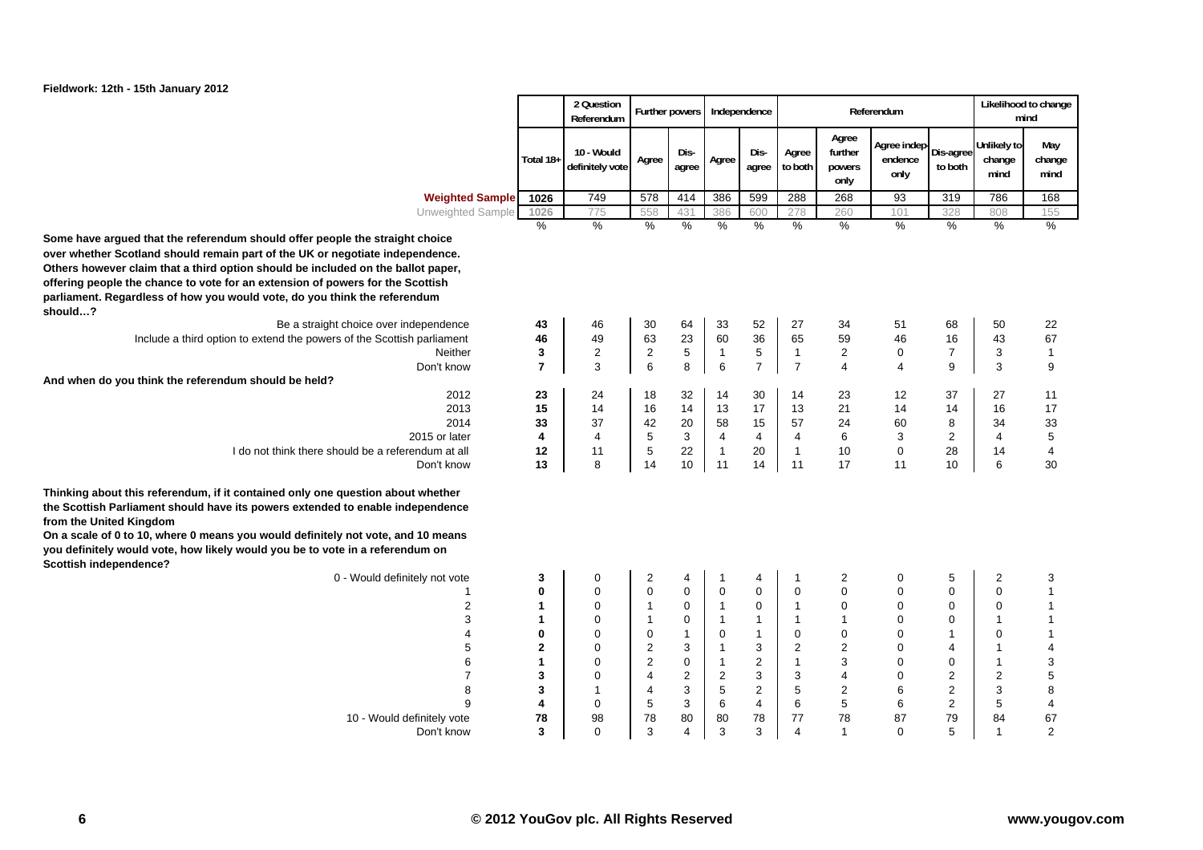

|                                                                                                                                                                                                                                                                                                                                                                                                                  |                  | 2 Question<br>Referendum      |                         | Further powers             |                             | Independence     |                         |                                    | Referendum                                   |                            |                               | Likelihood to change<br>mind              |
|------------------------------------------------------------------------------------------------------------------------------------------------------------------------------------------------------------------------------------------------------------------------------------------------------------------------------------------------------------------------------------------------------------------|------------------|-------------------------------|-------------------------|----------------------------|-----------------------------|------------------|-------------------------|------------------------------------|----------------------------------------------|----------------------------|-------------------------------|-------------------------------------------|
|                                                                                                                                                                                                                                                                                                                                                                                                                  | Total 18+        | 10 - Would<br>definitely vote | Agree                   | Dis-<br>agree              | Agree                       | Dis-<br>agree    | Agree<br>to both        | Agree<br>further<br>powers<br>only | Agree indep-<br>Dis-agree<br>endence<br>only | to both                    | Unlikely to<br>change<br>mind | May<br>change<br>mind                     |
| <b>Weighted Sample</b>                                                                                                                                                                                                                                                                                                                                                                                           | 1026             | 749                           | 578                     | 414                        | 386                         | 599              | 288                     | 268                                | 93                                           | 319                        | 786                           | 168                                       |
| Unweighted Sample                                                                                                                                                                                                                                                                                                                                                                                                | 1026             | 775                           | 558                     | 431                        | 386                         | 600              | 278                     | 260                                | 101                                          | 328                        | 808                           | 155                                       |
| Some have argued that the referendum should offer people the straight choice<br>over whether Scotland should remain part of the UK or negotiate independence.<br>Others however claim that a third option should be included on the ballot paper,<br>offering people the chance to vote for an extension of powers for the Scottish<br>parliament. Regardless of how you would vote, do you think the referendum | $\%$             | $\frac{9}{6}$                 | %                       | $\frac{9}{6}$              | $\frac{9}{6}$               | $\frac{0}{0}$    | %                       | $\frac{9}{6}$                      | %                                            | %                          | %                             | $\frac{9}{6}$                             |
| should?<br>Be a straight choice over independence                                                                                                                                                                                                                                                                                                                                                                | 43               | 46                            | 30                      | 64                         | 33                          | 52               | 27                      | 34                                 | 51                                           | 68                         | 50                            | 22                                        |
| Include a third option to extend the powers of the Scottish parliament                                                                                                                                                                                                                                                                                                                                           | 46               | 49                            | 63                      | 23                         | 60                          | 36               | 65                      | 59                                 | 46                                           | 16                         | 43                            | 67                                        |
| Neither                                                                                                                                                                                                                                                                                                                                                                                                          | 3                | $\overline{c}$                | 2                       | $\,$ 5 $\,$                | $\mathbf{1}$                | $\,$ 5 $\,$      | $\mathbf{1}$            | $\overline{2}$                     | $\mathbf 0$                                  | $\overline{7}$             | 3                             | $\overline{1}$                            |
| Don't know                                                                                                                                                                                                                                                                                                                                                                                                       | $\overline{7}$   | 3                             | 6                       | 8                          | $\,6\,$                     | $\overline{7}$   | $\overline{7}$          | $\overline{4}$                     | $\overline{4}$                               | 9                          | 3                             | 9                                         |
| And when do you think the referendum should be held?                                                                                                                                                                                                                                                                                                                                                             |                  |                               |                         |                            |                             |                  |                         |                                    |                                              |                            |                               |                                           |
| 2012                                                                                                                                                                                                                                                                                                                                                                                                             | 23               | 24                            | 18                      | 32                         | 14                          | 30               | 14                      | 23                                 | 12                                           | 37                         | 27                            | 11                                        |
| 2013                                                                                                                                                                                                                                                                                                                                                                                                             | 15               | 14                            | 16                      | 14                         | 13                          | 17               | 13                      | 21                                 | 14                                           | 14                         | 16                            | 17                                        |
| 2014                                                                                                                                                                                                                                                                                                                                                                                                             | 33               | 37                            | 42                      | 20                         | 58                          | 15               | 57                      | 24                                 | 60                                           | 8                          | 34                            | 33                                        |
| 2015 or later                                                                                                                                                                                                                                                                                                                                                                                                    | 4                | $\overline{4}$<br>11          | 5<br>5                  | 3                          | $\overline{4}$              | $\overline{4}$   | 4<br>$\mathbf{1}$       | 6                                  | 3                                            | $\overline{c}$             | 4                             | 5                                         |
| I do not think there should be a referendum at all<br>Don't know                                                                                                                                                                                                                                                                                                                                                 | 12<br>13         | 8                             | 14                      | 22<br>10                   | $\mathbf{1}$<br>11          | 20<br>14         | 11                      | 10<br>17                           | $\mathbf 0$<br>11                            | 28<br>10                   | 14<br>6                       | 4<br>30                                   |
| Thinking about this referendum, if it contained only one question about whether<br>the Scottish Parliament should have its powers extended to enable independence<br>from the United Kingdom<br>On a scale of 0 to 10, where 0 means you would definitely not vote, and 10 means<br>you definitely would vote, how likely would you be to vote in a referendum on<br>Scottish independence?                      |                  |                               |                         |                            |                             |                  |                         |                                    |                                              |                            |                               |                                           |
| 0 - Would definitely not vote                                                                                                                                                                                                                                                                                                                                                                                    | 3                | $\pmb{0}$                     | 2                       | 4                          | $\mathbf 1$                 | 4                | $\overline{\mathbf{1}}$ | $\overline{2}$                     | 0                                            | 5                          | 2                             | 3                                         |
| 1<br>2                                                                                                                                                                                                                                                                                                                                                                                                           | 0<br>$\mathbf 1$ | $\mathbf 0$<br>$\mathbf 0$    | 0                       | $\mathbf 0$<br>$\mathbf 0$ | $\mathbf 0$<br>$\mathbf{1}$ | 0<br>$\mathbf 0$ | 0<br>$\overline{1}$     | $\mathbf 0$<br>$\mathbf 0$         | $\overline{0}$<br>$\mathbf 0$                | $\mathbf 0$<br>$\mathbf 0$ | 0<br>0                        | $\overline{1}$<br>$\overline{\mathbf{1}}$ |
| 3                                                                                                                                                                                                                                                                                                                                                                                                                | $\mathbf{1}$     | $\boldsymbol{0}$              | $\mathbf{1}$            | $\mathbf 0$                | $\mathbf{1}$                | $\overline{1}$   | $\overline{1}$          | $\mathbf{1}$                       | $\mathbf 0$                                  | $\mathbf 0$                | 1                             | $\overline{1}$                            |
| 4                                                                                                                                                                                                                                                                                                                                                                                                                | $\bf{0}$         | $\mathbf 0$                   | $\mathbf 0$             | $\mathbf{1}$               | $\mathbf 0$                 | $\overline{1}$   | 0                       | $\mathbf 0$                        | $\mathbf 0$                                  | $\mathbf{1}$               | 0                             | $\overline{1}$                            |
| 5                                                                                                                                                                                                                                                                                                                                                                                                                | $\mathbf{2}$     | $\mathbf 0$                   | $\overline{c}$          | 3                          | $\mathbf{1}$                | 3                | $\overline{c}$          | $\overline{2}$                     | $\mathbf 0$                                  | $\overline{4}$             | 1                             | $\overline{4}$                            |
| 6                                                                                                                                                                                                                                                                                                                                                                                                                | 1                | $\mathbf 0$                   | $\overline{\mathbf{c}}$ | $\pmb{0}$                  | $\mathbf{1}$                | 2                | $\mathbf{1}$            | 3                                  | $\mathbf 0$                                  | $\mathbf 0$                | 1                             | 3                                         |
| $\overline{7}$                                                                                                                                                                                                                                                                                                                                                                                                   | 3                | $\mathbf 0$                   | $\overline{4}$          | $\overline{c}$             | $\overline{c}$              | 3                | 3                       | 4                                  | 0                                            | $\overline{2}$             | 2                             | 5                                         |
| 8                                                                                                                                                                                                                                                                                                                                                                                                                | 3                | $\mathbf{1}$                  | $\overline{4}$          | 3                          | 5                           | $\overline{c}$   | 5                       | $\overline{c}$                     | 6                                            | $\overline{2}$             | 3                             | 8                                         |
| 9                                                                                                                                                                                                                                                                                                                                                                                                                | 4                | $\mathbf 0$                   | $\,$ 5 $\,$             | 3                          | $6\phantom{1}$              | $\overline{4}$   | 6                       | $\,$ 5 $\,$                        | 6                                            | $\mathbf 2$                | 5                             | 4                                         |
| 10 - Would definitely vote                                                                                                                                                                                                                                                                                                                                                                                       | 78<br>3          | 98<br>$\Omega$                | 78<br>3                 | 80<br>$\overline{4}$       | 80<br>3                     | 78<br>3          | 77<br>4                 | 78<br>$\mathbf{1}$                 | 87<br>$\Omega$                               | 79<br>5                    | 84<br>1                       | 67<br>$\overline{2}$                      |
| Don't know                                                                                                                                                                                                                                                                                                                                                                                                       |                  |                               |                         |                            |                             |                  |                         |                                    |                                              |                            |                               |                                           |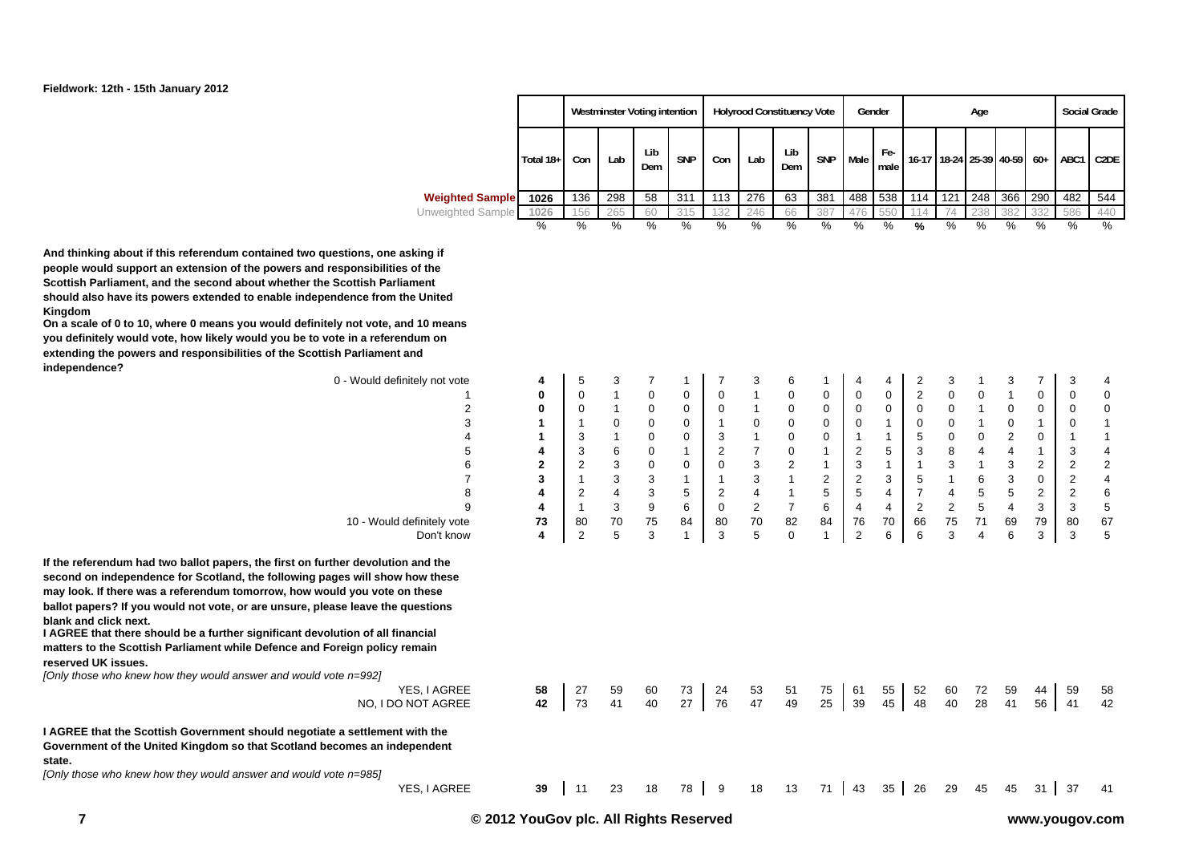

|                        |           |     |     | Westminster Voting intention |            |     |     | <b>Holyrood Constituency Vote</b> |            |      | Gender      |         |     | Age |                   |       |           | <b>Social Grade</b> |
|------------------------|-----------|-----|-----|------------------------------|------------|-----|-----|-----------------------------------|------------|------|-------------|---------|-----|-----|-------------------|-------|-----------|---------------------|
|                        | Total 18+ | Con | Lab | Lib<br>Dem                   | <b>SNP</b> | Con | Lab | Lib<br>Dem                        | <b>SNP</b> | Male | Fe-<br>male | $16-17$ |     |     | 18-24 25-39 40-59 | $60+$ | ABC1 C2DE |                     |
| <b>Weighted Sample</b> | 1026      | 136 | 298 | 58                           | 311        | 113 | 276 | 63                                | 381        | 488  | 538         | 114     | 121 | 248 | 366               | 290   | 482       | 544                 |
| Unweighted Sample      | 1026      | 56  | 265 | 60                           | 315        | 132 | 246 | 66                                | 387        | 476  | 550         | 14      | 74  | 238 | 382               | 332   | 586       | 440                 |
|                        | %         | %   | %   | %                            | %          | %   | %   | %                                 | %          | %    | %           | %       | %   | %   | %                 | %     | %         | %                   |

**And thinking about if this referendum contained two questions, one asking if people would support an extension of the powers and responsibilities of the Scottish Parliament, and the second about whether the Scottish Parliament should also have its powers extended to enable independence from the United Kingdom**

**On a scale of 0 to 10, where 0 means you would definitely not vote, and 10 means you definitely would vote, how likely would you be to vote in a referendum on extending the powers and responsibilities of the Scottish Parliament and independence?**

| 0 - Would definitely not vote                                                                                                     | 4            | 5              | 3              |             | 1           |             | 3                       | 6              | 1  | 4              | 4              | 2              | 3           |                | 3                       | $\overline{7}$ | 3              | 4                       |
|-----------------------------------------------------------------------------------------------------------------------------------|--------------|----------------|----------------|-------------|-------------|-------------|-------------------------|----------------|----|----------------|----------------|----------------|-------------|----------------|-------------------------|----------------|----------------|-------------------------|
|                                                                                                                                   | 0            | 0              | $\mathbf{1}$   | 0           | $\mathbf 0$ | 0           |                         | 0              | 0  | $\mathbf 0$    | 0              | $\overline{c}$ | $\mathbf 0$ | $\mathbf 0$    | $\mathbf{1}$            | 0              | 0              | $\mathbf 0$             |
| $\overline{2}$                                                                                                                    | 0            | 0              |                | 0           | 0           | 0           |                         | 0              | 0  | 0              | $\mathbf 0$    | 0              | $\mathbf 0$ |                | 0                       | 0              | 0              | 0                       |
| 3                                                                                                                                 |              |                | 0              | $\mathbf 0$ | $\mathbf 0$ |             | 0                       | $\mathbf 0$    | 0  | 0              |                | 0              | $\pmb{0}$   |                | 0                       | 1              | 0              | 1                       |
|                                                                                                                                   |              | 3              |                | 0           | 0           | 3           |                         | 0              | 0  |                | 1              | 5              | $\pmb{0}$   | $\pmb{0}$      | $\overline{\mathbf{c}}$ | 0              |                |                         |
| 5                                                                                                                                 | 4            | 3              | 6              | $\mathbf 0$ | 1           | 2           | 7                       | 0              |    | 2              | 5              | 3              | 8           | 4              | 4                       | $\mathbf{1}$   | 3              | 4                       |
|                                                                                                                                   | $\mathbf{2}$ | 2              | 3              | 0           | 0           | 0           | 3                       | 2              |    | 3              | 1              |                | 3           |                | 3                       | 2              | 2              | $\boldsymbol{2}$        |
|                                                                                                                                   | 3            |                | 3              | 3           | 1           |             | 3                       |                | 2  | $\overline{c}$ | 3              | 5              | 1           | 6              | 3                       | 0              | 2              | $\overline{\mathbf{4}}$ |
| 8                                                                                                                                 | 4            | $\overline{2}$ | $\overline{4}$ | 3           | 5           | 2           | $\overline{\mathbf{4}}$ |                | 5  | 5              | 4              | 7              | 4           | 5              | 5                       | $\overline{2}$ | $\overline{c}$ | 6                       |
| 9                                                                                                                                 | 4            |                | 3              | 9           | 6           | $\mathbf 0$ | $\overline{\mathbf{c}}$ | $\overline{7}$ | 6  | $\overline{4}$ | $\overline{4}$ | 2              | 2           | 5              | $\overline{\mathbf{4}}$ | 3              | 3              | $\mathbf 5$             |
| 10 - Would definitely vote                                                                                                        | 73           | 80             | 70             | 75          | 84          | 80          | 70                      | 82             | 84 | 76             | 70             | 66             | 75          | 71             | 69                      | 79             | 80             | 67                      |
| Don't know                                                                                                                        | 4            | 2              | 5              | 3           | 1           | 3           | 5                       | $\mathbf 0$    | 1  | $\overline{2}$ | 6              | 6              | 3           | $\overline{4}$ | 6                       | 3              | 3              | 5                       |
| or are unsure, please leave the questions<br>er significant devolution of all financial<br>hile Defence and Foreign policy remain |              |                |                |             |             |             |                         |                |    |                |                |                |             |                |                         |                |                |                         |
| answer and would vote n=992]                                                                                                      |              |                |                |             |             |             |                         |                |    |                |                |                |             |                |                         |                |                |                         |
| YES, I AGREE                                                                                                                      | 58           | 27             | 59             | 60          | 73          | 24          | 53                      | 51             | 75 | 61             | 55             | 52             | 60          | 72             | 59                      | 44             | 59             | 58                      |
| NO, I DO NOT AGREE                                                                                                                | 42           | 73             | 41             | 40          | 27          | 76          | 47                      | 49             | 25 | 39             | 45             | 48             | 40          | 28             | 41                      | 56             | 41             | 42                      |
| nt should negotiate a settlement with the<br>so that Scotland becomes an independent                                              |              |                |                |             |             |             |                         |                |    |                |                |                |             |                |                         |                |                |                         |
| answer and would vote n=985]                                                                                                      |              |                |                |             |             |             |                         |                |    |                |                |                |             |                |                         |                |                |                         |
| YES, I AGREE                                                                                                                      | 39           | 11             | 23             | 18          | 78          | 9           | 18                      | 13             | 71 | 43             | 35             | 26             | 29          | 45             | 45                      | 31             | 37             | 41                      |
|                                                                                                                                   |              |                |                |             |             |             |                         |                |    |                |                |                |             |                |                         |                |                |                         |

**If the referendum had two ballot paper** second on independence for Scotlan may look. If there was a referendum **ballot papers? If you would not vote, blank and click next.**

 **I AGREE that there should be a further significant devolution of all financial matters to the Scottish Parliament w reserved UK issues.**

*[Only those who knew how they would a* 

**I AGREE that the Scottish Government Government of the United Kingdom s state.**

*[Only those who knew how they would a*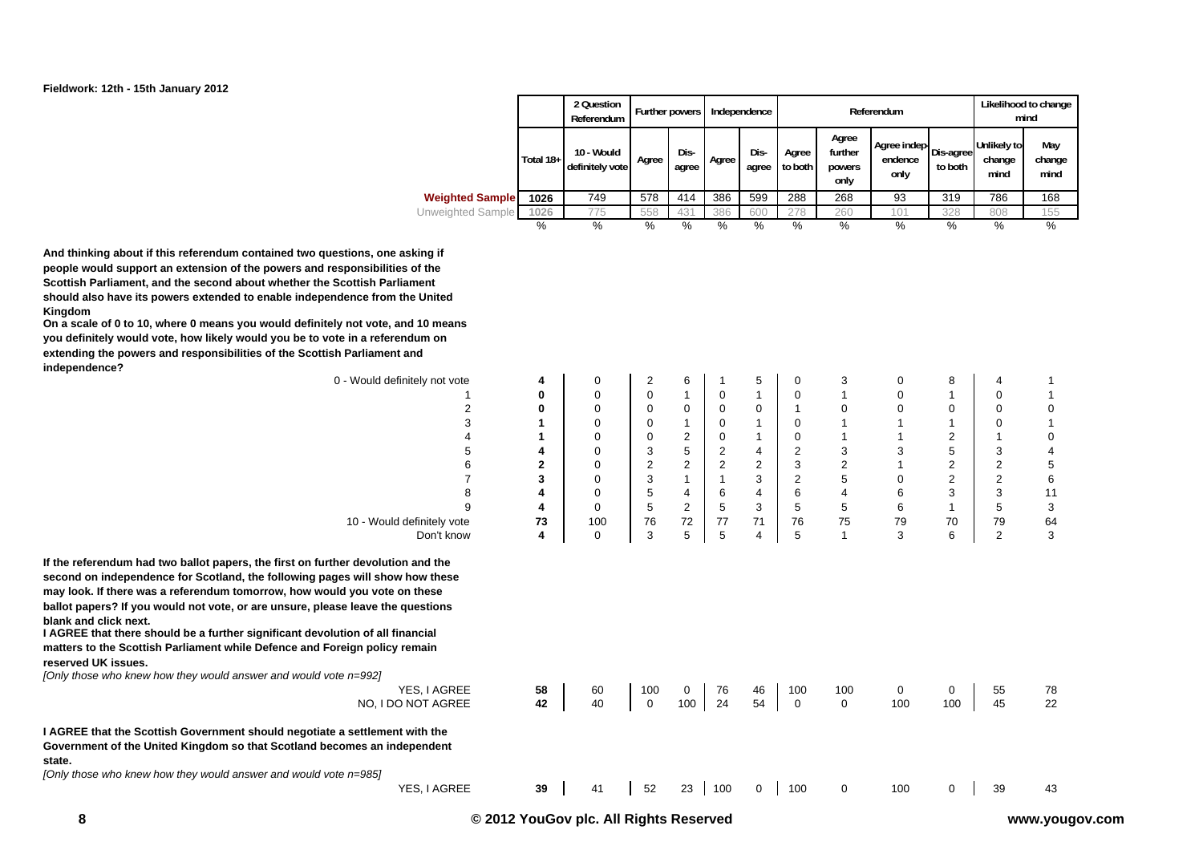

|                        |           | 2 Question<br>Referendum      | Further powers |               |       | Independence  |                  |                                    | Referendum                                              |         |                                      | Likelihood to change<br>mind |
|------------------------|-----------|-------------------------------|----------------|---------------|-------|---------------|------------------|------------------------------------|---------------------------------------------------------|---------|--------------------------------------|------------------------------|
|                        | Total 18+ | 10 - Would<br>definitely vote | Agree          | Dis-<br>agree | Agree | Dis-<br>agree | Agree<br>to both | Agree<br>further<br>powers<br>only | Agree indep   Dis-agree   University<br>endence<br>only | to both | <b>Unlikely to</b><br>change<br>mind | May<br>change<br>mind        |
| <b>Weighted Sample</b> | 1026      | 749                           | 578            | 414           | 386   | 599           | 288              | 268                                | 93                                                      | 319     | 786                                  | 168                          |
| Unweighted Sample      | 1026      | 775                           | 558            | 431           | 386   | 600           | 278              | 260                                | 101                                                     | 328     | 808                                  | 155                          |
|                        | %         | %                             | %              | %             | %     | %             | %                | %                                  | %                                                       | %       | %                                    | %                            |

**And thinking about if this referendum contained two questions, one asking if people would support an extension of the powers and responsibilities of the Scottish Parliament, and the second about whether the Scottish Parliament should also have its powers extended to enable independence from the United Kingdom**

**On a scale of 0 to 10, where 0 means you would definitely not vote, and 10 means you definitely would vote, how likely would you be to vote in a referendum on extending the powers and responsibilities of the Scottish Parliament and independence?**

| maependence?                                                                                                                                                                                                                                                                                                                                                                                              |          |             |                |                |          |                |                |                 |          |                |                |             |
|-----------------------------------------------------------------------------------------------------------------------------------------------------------------------------------------------------------------------------------------------------------------------------------------------------------------------------------------------------------------------------------------------------------|----------|-------------|----------------|----------------|----------|----------------|----------------|-----------------|----------|----------------|----------------|-------------|
| 0 - Would definitely not vote                                                                                                                                                                                                                                                                                                                                                                             | 4        | 0           | 2              | 6              |          | 5              | 0              | З               | 0        | 8              | 4              |             |
|                                                                                                                                                                                                                                                                                                                                                                                                           | 0        | 0           | $\mathbf 0$    |                | 0        |                | 0              |                 | 0        |                | 0              |             |
|                                                                                                                                                                                                                                                                                                                                                                                                           | 0        | 0           | $\mathbf 0$    | 0              | 0        | $\mathbf 0$    |                |                 | 0        | 0              | 0              | 0           |
| 3                                                                                                                                                                                                                                                                                                                                                                                                         |          | 0           | $\mathbf 0$    |                | 0        |                | 0              |                 |          |                | 0              |             |
|                                                                                                                                                                                                                                                                                                                                                                                                           |          | 0           | 0              | $\overline{2}$ | 0        |                | 0              |                 |          | $\overline{2}$ |                | 0           |
|                                                                                                                                                                                                                                                                                                                                                                                                           |          | 0           | 3              | 5              | 2        | 4              | 2              | 3               | 3        | 5              | 3              | 4           |
|                                                                                                                                                                                                                                                                                                                                                                                                           | 2        | 0           | $\overline{2}$ | 2              | 2        | $\overline{2}$ | 3              | $\overline{2}$  |          | 2              | $\overline{c}$ | 5           |
|                                                                                                                                                                                                                                                                                                                                                                                                           | 3        | $\mathbf 0$ | 3              |                |          | 3              | $\overline{c}$ | 5               | 0        | $\overline{2}$ | $\overline{c}$ | $\,$ 6 $\,$ |
| 8                                                                                                                                                                                                                                                                                                                                                                                                         |          | $\Omega$    | 5              | 4              | 6        | $\overline{4}$ | 6              | 4               | 6        | 3              | 3              | 11          |
| 9                                                                                                                                                                                                                                                                                                                                                                                                         |          | $\Omega$    | 5              | $\overline{2}$ | 5        | 3              | 5              | 5               | 6        | -1             | 5              | 3           |
| 10 - Would definitely vote                                                                                                                                                                                                                                                                                                                                                                                | 73       | 100         | 76             | 72             | 77       | 71             | 76             | 75              | 79       | 70             | 79             | 64          |
| Don't know                                                                                                                                                                                                                                                                                                                                                                                                | 4        | $\mathbf 0$ | 3              | 5              | 5        | $\overline{4}$ | 5              |                 | 3        | 6              | $\overline{c}$ | 3           |
| ballot papers? If you would not vote, or are unsure, please leave the questions<br>blank and click next.<br>I AGREE that there should be a further significant devolution of all financial<br>matters to the Scottish Parliament while Defence and Foreign policy remain<br>reserved UK issues.<br>[Only those who knew how they would answer and would vote n=992]<br>YES, I AGREE<br>NO, I DO NOT AGREE | 58<br>42 | 60<br>40    | 100<br>0       | 0<br>100       | 76<br>24 | 46<br>54       | 100<br>0       | 100<br>$\Omega$ | 0<br>100 | 0<br>100       | 55<br>45       | 78<br>22    |
| I AGREE that the Scottish Government should negotiate a settlement with the<br>Government of the United Kingdom so that Scotland becomes an independent<br>state.<br>[Only those who knew how they would answer and would vote n=985]                                                                                                                                                                     |          |             |                |                |          |                |                |                 |          |                |                |             |
| YES, I AGREE                                                                                                                                                                                                                                                                                                                                                                                              | 39       | 41          | 52             | 23             | 100      | 0              | 100            | 0               | 100      | 0              | 39             | 43          |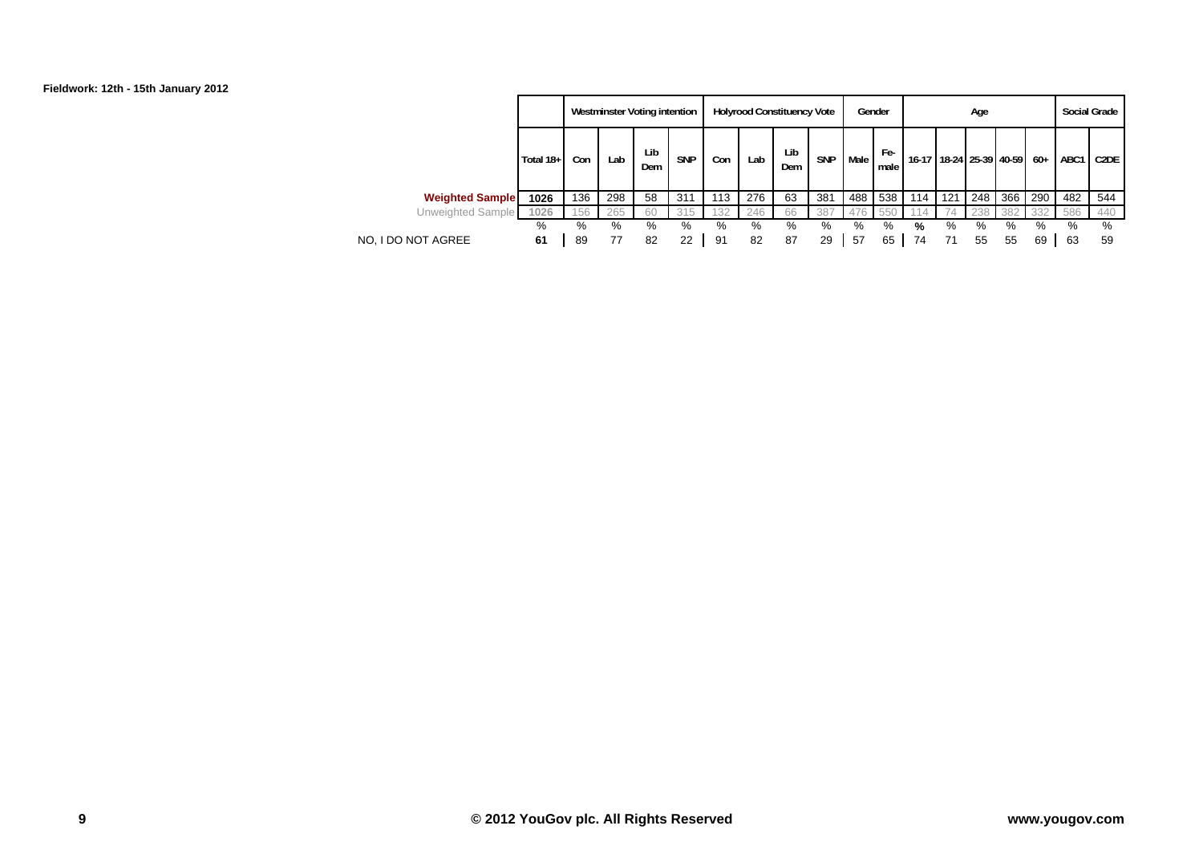

|                        |           |     |     | Westminster Voting intention |            |     |     | <b>Holyrood Constituency Vote</b> |            |      | Gender      |                         |     | Age |     |       | <b>Social Grade</b> |                   |
|------------------------|-----------|-----|-----|------------------------------|------------|-----|-----|-----------------------------------|------------|------|-------------|-------------------------|-----|-----|-----|-------|---------------------|-------------------|
|                        | Total 18+ | Con | Lab | Lib<br>Dem                   | <b>SNP</b> | Con | Lab | Lib<br>Dem                        | <b>SNP</b> | Male | Fe-<br>male | 16-17 18-24 25-39 40-59 |     |     |     | $60+$ | ABC1                | C <sub>2</sub> DE |
| <b>Weighted Sample</b> | 1026      | 136 | 298 | 58                           | 311        | 113 | 276 | 63                                | 381        | 488  | 538         | 114                     | 121 | 248 | 366 | 290   | 482                 | 544               |
| Unweighted Sample      | 1026      | 156 | 265 | 60                           | 315        | 132 | 246 | 66                                | 387        | 476  | 550         | 14                      | 74  | 238 | 382 | 332   | 586                 | 440               |
|                        | %         | %   | %   | %                            | %          | %   | %   | %                                 | %          | %    | %           | %                       | %   | %   | %   | %     | %                   | %                 |
| NO. I DO NOT AGREE     | 61        | 89  | 77  | 82                           | 22         | 91  | 82  | 87                                | 29         | 57   | 65          | 74                      |     | 55  | 55  | 69    | 63                  | 59                |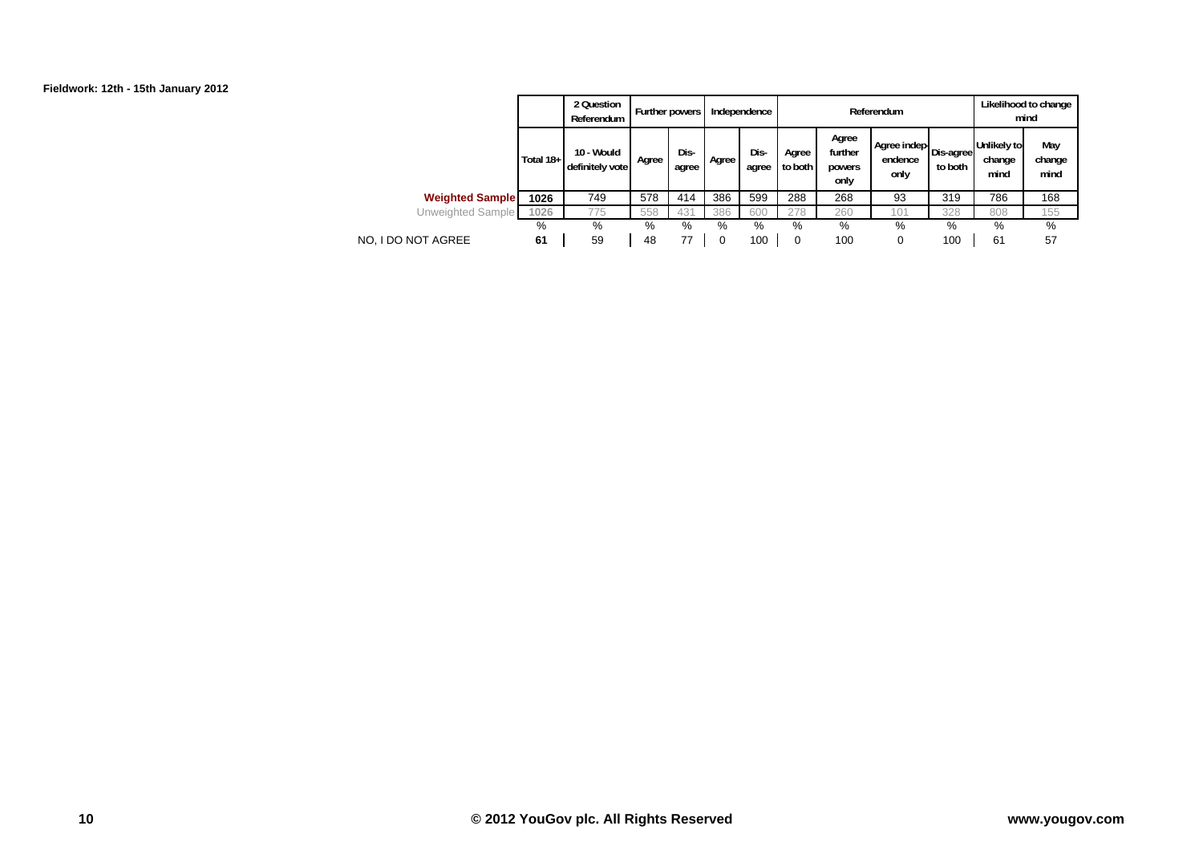

|                        |           | 2 Question<br>Referendum      | Further powers I |               |       | Independence  |                  |                                    | Referendum                                        |         |                               | Likelihood to change<br>mind |
|------------------------|-----------|-------------------------------|------------------|---------------|-------|---------------|------------------|------------------------------------|---------------------------------------------------|---------|-------------------------------|------------------------------|
|                        | Total 18+ | 10 - Would<br>definitely vote | Agree            | Dis-<br>agree | Agree | Dis-<br>agree | Agree<br>to both | Agree<br>further<br>powers<br>only | Agree indep   Dis-agree   Vive<br>endence<br>only | to both | Unlikely to<br>change<br>mind | May<br>change<br>mind        |
| <b>Weighted Sample</b> | 1026      | 749                           | 578              | 414           | 386   | 599           | 288              | 268                                | 93                                                | 319     | 786                           | 168                          |
| Unweighted Sample      | 1026      | 775                           | 558              | 431           | 386   | 600           | 278              | 260                                | 101                                               | 328     | 808                           | 155                          |
|                        | %         | %                             | %                | %             | %     | %             | %                | %                                  | %                                                 | %       | %                             | %                            |
| NO. I DO NOT AGREE     | 61        | 59                            | 48               | 77            |       | 100           | 0                | 100                                | 0                                                 | 100     | 61                            | 57                           |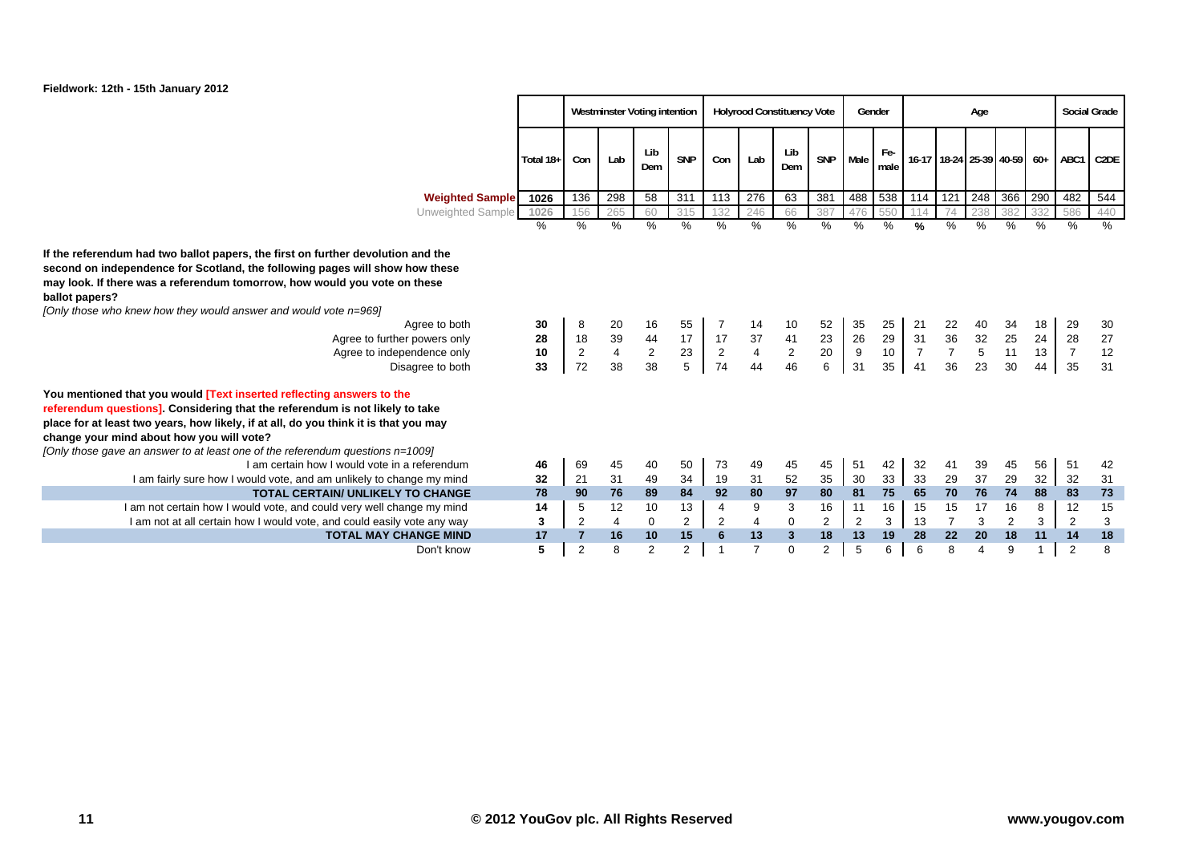

# **Fieldwork: 12th - 15th January 2012**

|                                                                                                                                                                                                                                                                                                                                                                                                                                        |                      |                             |                                           | <b>Westminster Voting intention</b> |                            |                      |                                           | <b>Holyrood Constituency Vote</b> |                     |                                    | Gender                            |                                  |                                  | Age                                                |                      |                      |                                  | <b>Social Grade</b>  |
|----------------------------------------------------------------------------------------------------------------------------------------------------------------------------------------------------------------------------------------------------------------------------------------------------------------------------------------------------------------------------------------------------------------------------------------|----------------------|-----------------------------|-------------------------------------------|-------------------------------------|----------------------------|----------------------|-------------------------------------------|-----------------------------------|---------------------|------------------------------------|-----------------------------------|----------------------------------|----------------------------------|----------------------------------------------------|----------------------|----------------------|----------------------------------|----------------------|
|                                                                                                                                                                                                                                                                                                                                                                                                                                        | Total 18+            | Con                         | Lab                                       | Lib<br>Dem                          | <b>SNP</b>                 | Con                  | Lab                                       | Lib<br>Dem                        | SNP                 | Male                               | Fe-<br>male                       |                                  |                                  | 16-17 18-24 25-39 40-59 60+                        |                      |                      | ABC1                             | C <sub>2</sub> DE    |
| <b>Weighted Sample</b>                                                                                                                                                                                                                                                                                                                                                                                                                 | 1026                 | 136                         | 298                                       | 58                                  | 311                        | 113                  | 276                                       | 63                                | 381                 | 488                                | 538                               | 114                              | 121                              | 248                                                | 366                  | 290                  | 482                              | 544                  |
| Unweighted Sample                                                                                                                                                                                                                                                                                                                                                                                                                      | 1026                 | 156                         | 265                                       | 60                                  | 315                        | 132                  | 246                                       | 66                                | 387                 | 476                                | 550                               | 114                              | 74                               | 238                                                | 382                  | 332                  | 586                              | 440                  |
|                                                                                                                                                                                                                                                                                                                                                                                                                                        | %                    | $\frac{0}{0}$               | $\%$                                      | %                                   | $\frac{0}{0}$              | %                    | %                                         | $\%$                              | $\%$                | $\%$                               | $\%$                              | %                                | %                                | $\%$                                               | $\frac{0}{0}$        | $\frac{0}{0}$        | $\%$                             | %                    |
| If the referendum had two ballot papers, the first on further devolution and the<br>second on independence for Scotland, the following pages will show how these<br>may look. If there was a referendum tomorrow, how would you vote on these<br>ballot papers?<br>[Only those who knew how they would answer and would vote n=969]<br>Agree to both<br>Agree to further powers only<br>Agree to independence only<br>Disagree to both | 30<br>28<br>10<br>33 | 8<br>18<br>$\sqrt{2}$<br>72 | 20<br>39<br>$\overline{\mathbf{4}}$<br>38 | 16<br>44<br>$\sqrt{2}$<br>38        | 55<br>17<br>$\frac{23}{5}$ | 17<br>$\frac{2}{74}$ | 14<br>37<br>$\overline{\mathbf{4}}$<br>44 | 10<br>41<br>$\sqrt{2}$<br>46      | 52<br>23<br>20<br>6 | 35<br>26<br>$\boldsymbol{9}$<br>31 | 25<br>29<br>10 <sup>1</sup><br>35 | 21<br>31<br>$\overline{7}$<br>41 | 22<br>36<br>$\overline{7}$<br>36 | 40<br>$\begin{array}{c} 32 \\ 5 \end{array}$<br>23 | 34<br>25<br>11<br>30 | 18<br>24<br>13<br>44 | 29<br>28<br>$\overline{7}$<br>35 | 30<br>27<br>12<br>31 |
| You mentioned that you would [Text inserted reflecting answers to the<br>referendum questions]. Considering that the referendum is not likely to take<br>place for at least two years, how likely, if at all, do you think it is that you may<br>change your mind about how you will vote?<br>[Only those gave an answer to at least one of the referendum questions $n=1009$ ]                                                        |                      |                             |                                           |                                     |                            |                      |                                           |                                   |                     |                                    |                                   |                                  |                                  |                                                    |                      |                      |                                  |                      |
| I am certain how I would vote in a referendum                                                                                                                                                                                                                                                                                                                                                                                          | 46                   | 69                          | 45                                        | 40                                  | 50                         | 73                   | 49                                        | 45                                | 45                  | 51                                 | 42                                | 32                               | 41                               | 39                                                 | 45                   | 56                   | 51                               | 42                   |
| I am fairly sure how I would vote, and am unlikely to change my mind                                                                                                                                                                                                                                                                                                                                                                   | 32                   | 21                          | 31                                        | 49                                  | 34                         | 19                   | 31                                        | 52                                | 35                  | 30                                 | 33                                | 33                               | 29                               | 37                                                 | 29                   | 32                   | 32                               | 31                   |
| <b>TOTAL CERTAIN/ UNLIKELY TO CHANGE</b>                                                                                                                                                                                                                                                                                                                                                                                               | 78                   | 90                          | 76                                        | 89                                  | 84                         | 92                   | 80                                        | 97                                | 80                  | 81                                 | 75                                | 65                               | 70                               | 76                                                 | 74                   | 88                   | 83                               | 73                   |
| I am not certain how I would vote, and could very well change my mind                                                                                                                                                                                                                                                                                                                                                                  | 14                   | 5                           | 12                                        | 10                                  | 13                         | 4                    | 9                                         | 3                                 | 16                  | 11                                 | 16                                | 15                               | 15                               | 17                                                 | 16                   | 8                    | 12                               | 15                   |
| I am not at all certain how I would vote, and could easily vote any way                                                                                                                                                                                                                                                                                                                                                                | 3                    | $\overline{2}$              | 4                                         | $\mathbf 0$                         | $\overline{2}$             | 2                    | 4                                         | $\mathbf 0$                       | $\overline{2}$      | $\overline{2}$                     | 3                                 | 13                               | $\overline{7}$                   | 3                                                  | $\overline{2}$       | 3                    | $\overline{2}$                   | 3                    |
| <b>TOTAL MAY CHANGE MIND</b>                                                                                                                                                                                                                                                                                                                                                                                                           | 17                   |                             | 16                                        | 10                                  | 15                         | 6                    | 13                                        | 3                                 | 18                  | 13                                 | 19                                | 28                               | 22                               | 20                                                 | 18                   | 11                   | 14                               | 18                   |
| Don't know                                                                                                                                                                                                                                                                                                                                                                                                                             | 5                    | $\mathcal{P}$               | 8                                         | $\overline{2}$                      | $\overline{2}$             |                      | $\overline{ }$                            | $\Omega$                          | $\overline{2}$      | 5                                  | 6                                 | 6                                | 8                                |                                                    | 9                    |                      | $\overline{2}$                   | 8                    |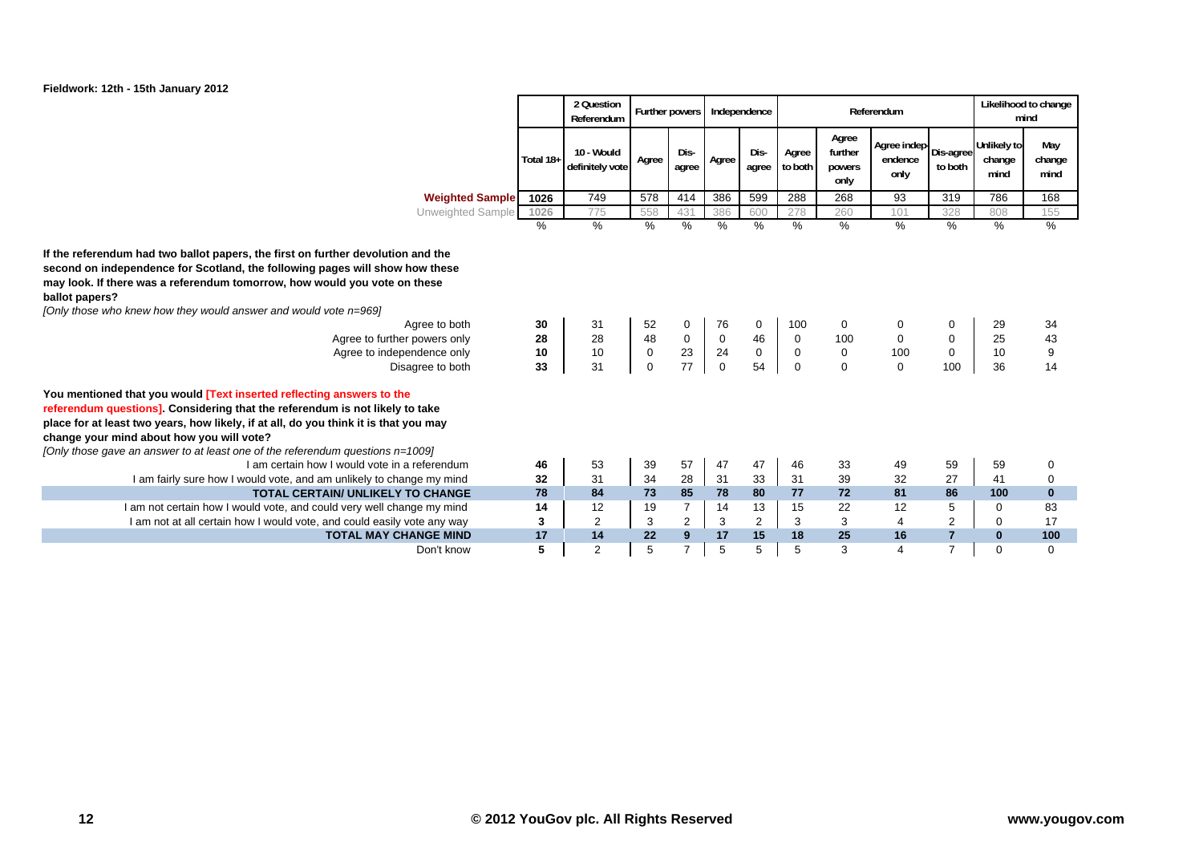

|                                                                                                                                                                                                                                                                                                                                                                                                                                        |                      | 2 Question<br>Referendum      |                                        |                              | Further powers   Independence          |                    |                                      |                                    | Referendum                               |                              |                               | Likelihood to change<br>mind |
|----------------------------------------------------------------------------------------------------------------------------------------------------------------------------------------------------------------------------------------------------------------------------------------------------------------------------------------------------------------------------------------------------------------------------------------|----------------------|-------------------------------|----------------------------------------|------------------------------|----------------------------------------|--------------------|--------------------------------------|------------------------------------|------------------------------------------|------------------------------|-------------------------------|------------------------------|
|                                                                                                                                                                                                                                                                                                                                                                                                                                        | Total 18+            | 10 - Would<br>definitely vote | Agree                                  | Dis-<br>agree                | Agree                                  | Dis-<br>agree      | Agree<br>to both                     | Agree<br>further<br>powers<br>only | Agree indep Dis-agree<br>endence<br>only | to both                      | Unlikely to<br>change<br>mind | May<br>change<br>mind        |
| <b>Weighted Sample</b>                                                                                                                                                                                                                                                                                                                                                                                                                 | 1026                 | 749                           | 578                                    | 414                          | 386                                    | 599                | 288                                  | 268                                | 93                                       | 319                          | 786                           | 168                          |
| Unweighted Sample                                                                                                                                                                                                                                                                                                                                                                                                                      | 1026                 | 775                           | 558                                    | 431                          | 386                                    | 600                | 278                                  | 260                                | 101                                      | 328                          | 808                           | 155                          |
|                                                                                                                                                                                                                                                                                                                                                                                                                                        | %                    | %                             | %                                      | $\%$                         | $\frac{0}{0}$                          | %                  | %                                    | $\frac{0}{0}$                      | %                                        | %                            | $\%$                          | %                            |
| If the referendum had two ballot papers, the first on further devolution and the<br>second on independence for Scotland, the following pages will show how these<br>may look. If there was a referendum tomorrow, how would you vote on these<br>ballot papers?<br>[Only those who knew how they would answer and would vote n=969]<br>Agree to both<br>Agree to further powers only<br>Agree to independence only<br>Disagree to both | 30<br>28<br>10<br>33 | 31<br>28<br>10<br>31          | 52<br>48<br>$\mathbf 0$<br>$\mathbf 0$ | 0<br>$\mathbf 0$<br>23<br>77 | 76<br>$\mathbf 0$<br>24<br>$\mathbf 0$ | 0<br>46<br>0<br>54 | 100<br>0<br>$\pmb{0}$<br>$\mathbf 0$ | 0<br>100<br>0<br>$\Omega$          | 0<br>0<br>100<br>$\Omega$                | 0<br>0<br>$\mathbf 0$<br>100 | 29<br>25<br>10<br>36          | 34<br>43<br>9<br>14          |
| You mentioned that you would [Text inserted reflecting answers to the                                                                                                                                                                                                                                                                                                                                                                  |                      |                               |                                        |                              |                                        |                    |                                      |                                    |                                          |                              |                               |                              |
| referendum questions]. Considering that the referendum is not likely to take<br>place for at least two years, how likely, if at all, do you think it is that you may<br>change your mind about how you will vote?<br>[Only those gave an answer to at least one of the referendum questions $n=1009$ ]                                                                                                                                 |                      |                               |                                        |                              |                                        |                    |                                      |                                    |                                          |                              |                               |                              |
| I am certain how I would vote in a referendum                                                                                                                                                                                                                                                                                                                                                                                          | 46                   | 53                            | 39                                     | 57                           | 47                                     | 47                 | 46                                   | 33                                 | 49                                       | 59                           | 59                            | 0                            |
| I am fairly sure how I would vote, and am unlikely to change my mind                                                                                                                                                                                                                                                                                                                                                                   | 32                   | 31                            | 34                                     | 28                           | 31                                     | 33                 | 31                                   | 39                                 | 32                                       | 27                           | 41                            | $\mathbf 0$                  |
| <b>TOTAL CERTAIN/ UNLIKELY TO CHANGE</b>                                                                                                                                                                                                                                                                                                                                                                                               | 78                   | 84                            | 73                                     | 85                           | 78                                     | 80                 | 77                                   | 72                                 | 81                                       | 86                           | 100                           | $\mathbf{0}$                 |
| I am not certain how I would vote, and could very well change my mind                                                                                                                                                                                                                                                                                                                                                                  | 14                   | 12                            | 19                                     | $\overline{7}$               | 14                                     | 13                 | 15                                   | 22                                 | 12                                       | 5                            | 0                             | 83                           |
| I am not at all certain how I would vote, and could easily vote any way                                                                                                                                                                                                                                                                                                                                                                | 3                    | 2                             | 3                                      | $\sqrt{2}$                   | 3                                      | $\overline{2}$     | 3                                    | 3                                  | 4                                        | 2                            | $\mathbf 0$                   | 17                           |
| <b>TOTAL MAY CHANGE MIND</b>                                                                                                                                                                                                                                                                                                                                                                                                           | 17                   | 14                            | 22                                     | 9                            | 17                                     | 15                 | 18                                   | 25                                 | 16                                       | $\overline{7}$               | $\bf{0}$                      | 100                          |
| Don't know                                                                                                                                                                                                                                                                                                                                                                                                                             | 5                    | $\overline{2}$                | 5                                      |                              | 5                                      |                    | 5                                    | 3                                  | 4                                        | 7                            | $\Omega$                      | $\Omega$                     |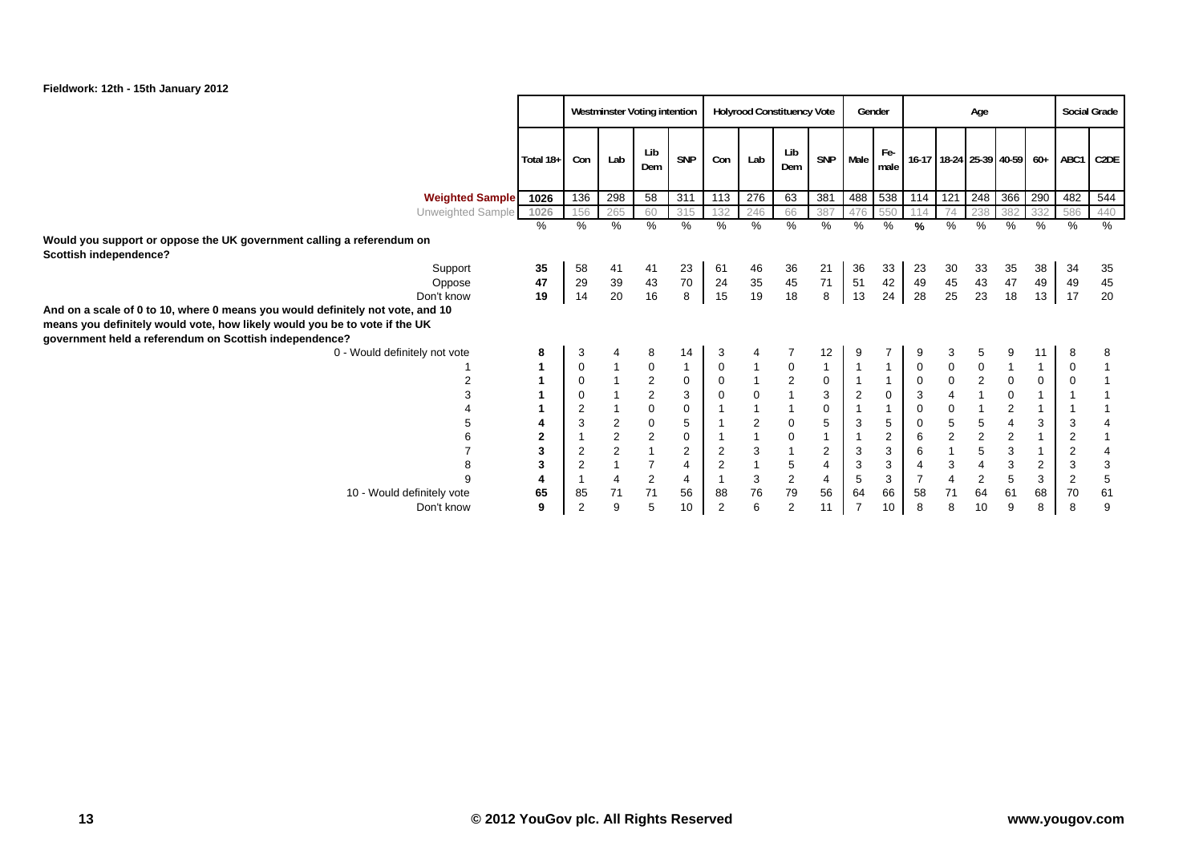

|                                                                                                                                      |                | Westminster Voting intention |                         |                |                  | <b>Holyrood Constituency Vote</b> |                           |                                       |                |                | Gender         | Age            |                             |                |                           | <b>Social Grade</b> |                |                   |
|--------------------------------------------------------------------------------------------------------------------------------------|----------------|------------------------------|-------------------------|----------------|------------------|-----------------------------------|---------------------------|---------------------------------------|----------------|----------------|----------------|----------------|-----------------------------|----------------|---------------------------|---------------------|----------------|-------------------|
|                                                                                                                                      | Total 18+      | Con                          | Lab                     | Lib<br>Dem     | SNP              | Con                               | Lab                       | Lib<br>Dem                            | SNP            | Male           | Fe-<br>male    |                | 16-17 18-24 25-39 40-59 60+ |                |                           |                     | ABC1           | C <sub>2</sub> DE |
| <b>Weighted Sample</b>                                                                                                               | 1026           | 136                          | 298                     | 58             | 311              | 113                               | 276                       | 63                                    | 381            | 488            | 538            | 114            | 121                         | 248            | 366                       | 290                 | 482            | 544               |
| Unweighted Sample                                                                                                                    | 1026           | 156                          | 265                     | 60             | 315              | 132                               | 246                       | 66                                    | 387            | 476            |                |                | 74                          | 238            | 382                       | 332                 | 586            | 440               |
|                                                                                                                                      | %              | $\%$                         | $\%$                    | %              | $\%$             | %                                 | %                         | %                                     | $\%$           | %              | $\frac{0}{0}$  | %              | %                           | $\%$           | %                         | %                   | %              | %                 |
| Would you support or oppose the UK government calling a referendum on                                                                |                |                              |                         |                |                  |                                   |                           |                                       |                |                |                |                |                             |                |                           |                     |                |                   |
| Scottish independence?                                                                                                               |                |                              |                         |                |                  |                                   |                           |                                       |                |                |                |                |                             |                |                           |                     |                |                   |
| Support                                                                                                                              | 35             | 58                           | 41                      | 41             | 23               | 61                                | 46                        | 36                                    | 21             | 36             | 33             | 23             | 30                          | 33             | 35                        | 38                  | 34             | 35                |
| Oppose                                                                                                                               | 47             | 29                           | 39                      | 43             | 70               | 24                                | 35                        | 45                                    | 71             | 51             | 42             | 49             | 45                          | 43             | 47                        | 49                  | 49             | 45                |
| Don't know                                                                                                                           | 19             | 14                           | 20                      | 16             | $\boldsymbol{8}$ | 15                                | 19                        | 18                                    | 8              | 13             | 24             | 28             | 25                          | 23             | 18                        | 13                  | 17             | 20                |
| And on a scale of 0 to 10, where 0 means you would definitely not vote, and 10                                                       |                |                              |                         |                |                  |                                   |                           |                                       |                |                |                |                |                             |                |                           |                     |                |                   |
| means you definitely would vote, how likely would you be to vote if the UK<br>government held a referendum on Scottish independence? |                |                              |                         |                |                  |                                   |                           |                                       |                |                |                |                |                             |                |                           |                     |                |                   |
| 0 - Would definitely not vote                                                                                                        | 8              | 3                            |                         | 8              | 14               | 3                                 | 4                         |                                       | 12             |                |                | 9              | 3                           | 5              | 9                         | 11                  | 8              | 8                 |
|                                                                                                                                      | 1              | $\pmb{0}$                    |                         | $\pmb{0}$      | $\mathbf{1}$     | $\mathbf 0$                       |                           | $\mathbf 0$                           | $\mathbf{1}$   | $\overline{1}$ | $\mathbf{1}$   | $\pmb{0}$      | $\pmb{0}$                   | $\pmb{0}$      | $\mathbf{1}$              | $\mathbf{1}$        | $\mathbf 0$    |                   |
| 2                                                                                                                                    |                | $\mathbf 0$                  |                         | $\sqrt{2}$     | $\mathbf 0$      | $\pmb{0}$                         |                           |                                       | $\mathbf 0$    | $\overline{1}$ | $\overline{1}$ | $\mathbf 0$    | $\mathbf 0$                 | $\mathbf 2$    | $\mathbf 0$               | $\mathbf 0$         | 0              |                   |
| 3                                                                                                                                    |                | $\mathbf 0$                  |                         | $\sqrt{2}$     | 3                | $\mathsf{O}\xspace$               | $\mathbf 0$               | $\begin{array}{c} 2 \\ 1 \end{array}$ | 3              | $\overline{2}$ | $\mathbf 0$    | 3              | $\overline{\mathbf{4}}$     | $\mathbf{1}$   | $\mathbf 0$               | $\mathbf{1}$        |                |                   |
|                                                                                                                                      |                | $\overline{2}$               |                         | $\mathbf 0$    | $\mathbf 0$      | $\mathbf{1}$                      |                           |                                       | $\mathbf 0$    | $\overline{1}$ | $\mathbf{1}$   | $\mathbf 0$    | $\pmb{0}$                   | $\mathbf{1}$   | $\sqrt{2}$                | $\mathbf{1}$        |                |                   |
|                                                                                                                                      |                | 3                            | $\overline{\mathbf{c}}$ | $\pmb{0}$      | 5                |                                   | $\sqrt{2}$                | 0                                     | 5              | 3              | 5              | $\mathbf 0$    | $\sqrt{5}$                  | $\sqrt{5}$     | $\overline{\mathbf{4}}$   | 3                   | 3              | 4                 |
|                                                                                                                                      | $\overline{2}$ |                              | $\overline{2}$          | $\overline{2}$ | $\mathbf 0$      | $\mathbf{1}$                      |                           | 0                                     | $\mathbf{1}$   | $\overline{1}$ | 2              | 6              | $\overline{c}$              | $\mathbf 2$    | $\overline{2}$            | $\mathbf{1}$        | $\overline{2}$ | $\mathbf{1}$      |
|                                                                                                                                      | 3              | $\overline{2}$               | $\overline{a}$          |                | 2                | $\sqrt{2}$                        | $\mathsf 3$               |                                       | $\overline{2}$ | 3              | 3              | 6              | $\mathbf{1}$                | $\sqrt{5}$     | $\ensuremath{\mathsf{3}}$ | $\mathbf{1}$        | $\overline{2}$ | 4                 |
| 8                                                                                                                                    | 3              | $\overline{2}$               |                         | $\overline{7}$ | $\overline{4}$   | $\sqrt{2}$                        |                           | 5                                     | 4              | 3              | 3              | $\overline{4}$ | 3                           | $\overline{4}$ | 3                         | $\overline{2}$      | 3              | $\mathbf{3}$      |
| 9                                                                                                                                    |                |                              | $\overline{4}$          | $\sqrt{2}$     | 4                | $\mathbf{1}$                      | $\ensuremath{\mathsf{3}}$ | $\overline{c}$                        | $\overline{4}$ | 5              | 3              | $\overline{7}$ | $\overline{\mathbf{4}}$     | $\sqrt{2}$     | 5                         | 3                   | $\overline{2}$ | $\,$ 5 $\,$       |
| 10 - Would definitely vote                                                                                                           | 65             | 85                           | 71                      | 71             | 56               | 88                                | 76                        | $\bf 79$                              | 56             | 64             | 66             | 58             | 71                          | 64             | 61                        | 68                  | 70             | 61                |
| Don't know                                                                                                                           | 9              | $\overline{2}$               | 9                       | 5              | 10 <sup>1</sup>  | $\overline{2}$                    | 6                         | $\overline{2}$                        | 11             | $\overline{7}$ | 10             | 8              | 8                           | 10             | 9                         | 8                   | 8              | 9                 |